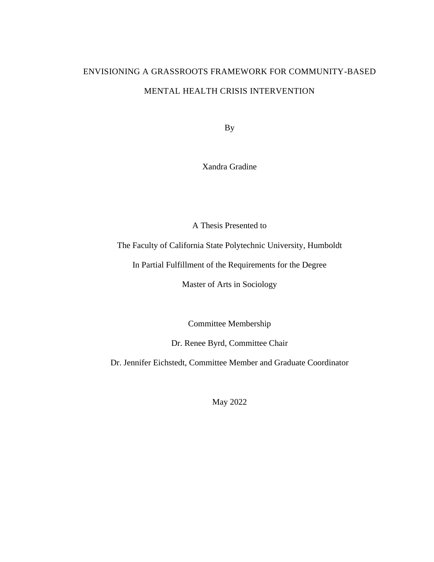# ENVISIONING A GRASSROOTS FRAMEWORK FOR COMMUNITY-BASED MENTAL HEALTH CRISIS INTERVENTION

By

Xandra Gradine

A Thesis Presented to

The Faculty of California State Polytechnic University, Humboldt

In Partial Fulfillment of the Requirements for the Degree

Master of Arts in Sociology

Committee Membership

Dr. Renee Byrd, Committee Chair

Dr. Jennifer Eichstedt, Committee Member and Graduate Coordinator

May 2022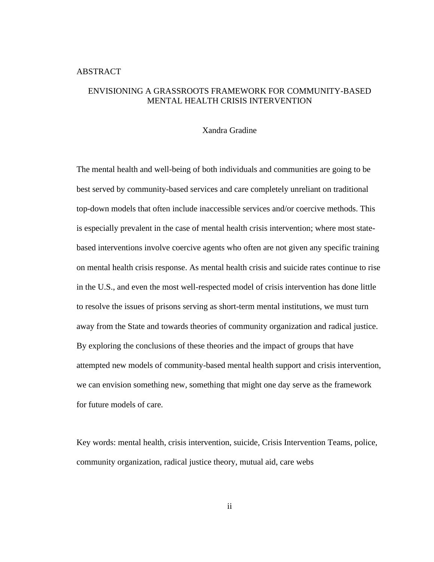#### <span id="page-1-0"></span>ABSTRACT

## ENVISIONING A GRASSROOTS FRAMEWORK FOR COMMUNITY-BASED MENTAL HEALTH CRISIS INTERVENTION

#### Xandra Gradine

The mental health and well-being of both individuals and communities are going to be best served by community-based services and care completely unreliant on traditional top-down models that often include inaccessible services and/or coercive methods. This is especially prevalent in the case of mental health crisis intervention; where most statebased interventions involve coercive agents who often are not given any specific training on mental health crisis response. As mental health crisis and suicide rates continue to rise in the U.S., and even the most well-respected model of crisis intervention has done little to resolve the issues of prisons serving as short-term mental institutions, we must turn away from the State and towards theories of community organization and radical justice. By exploring the conclusions of these theories and the impact of groups that have attempted new models of community-based mental health support and crisis intervention, we can envision something new, something that might one day serve as the framework for future models of care.

Key words: mental health, crisis intervention, suicide, Crisis Intervention Teams, police, community organization, radical justice theory, mutual aid, care webs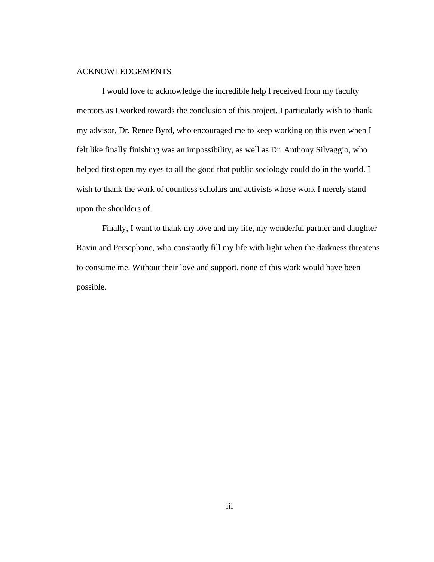#### <span id="page-2-0"></span>ACKNOWLEDGEMENTS

I would love to acknowledge the incredible help I received from my faculty mentors as I worked towards the conclusion of this project. I particularly wish to thank my advisor, Dr. Renee Byrd, who encouraged me to keep working on this even when I felt like finally finishing was an impossibility, as well as Dr. Anthony Silvaggio, who helped first open my eyes to all the good that public sociology could do in the world. I wish to thank the work of countless scholars and activists whose work I merely stand upon the shoulders of.

Finally, I want to thank my love and my life, my wonderful partner and daughter Ravin and Persephone, who constantly fill my life with light when the darkness threatens to consume me. Without their love and support, none of this work would have been possible.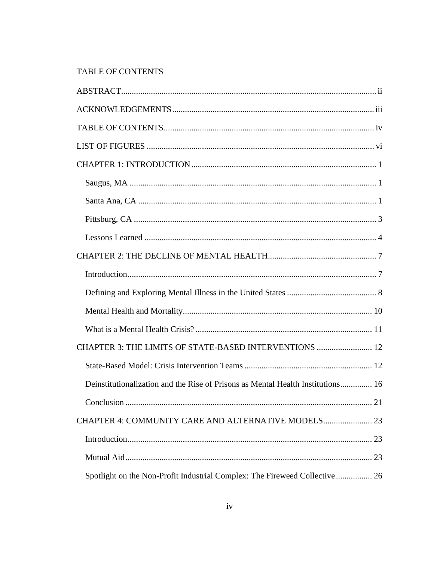# <span id="page-3-0"></span>TABLE OF CONTENTS

| CHAPTER 3: THE LIMITS OF STATE-BASED INTERVENTIONS  12                          |    |
|---------------------------------------------------------------------------------|----|
|                                                                                 |    |
| Deinstitutionalization and the Rise of Prisons as Mental Health Institutions 16 |    |
| Conclusion                                                                      | 21 |
|                                                                                 |    |
|                                                                                 |    |
|                                                                                 |    |
| Spotlight on the Non-Profit Industrial Complex: The Fireweed Collective 26      |    |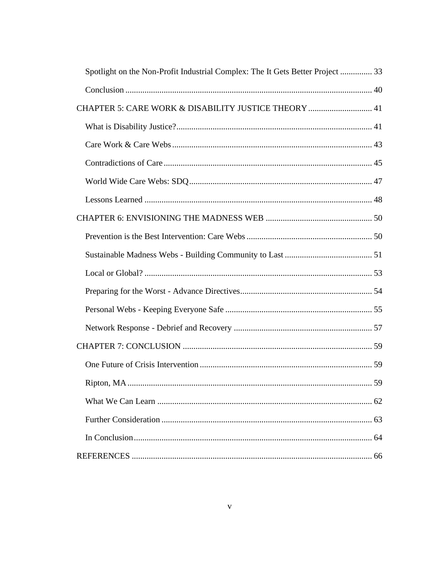| Spotlight on the Non-Profit Industrial Complex: The It Gets Better Project  33 |  |
|--------------------------------------------------------------------------------|--|
|                                                                                |  |
| CHAPTER 5: CARE WORK & DISABILITY JUSTICE THEORY  41                           |  |
|                                                                                |  |
|                                                                                |  |
|                                                                                |  |
|                                                                                |  |
|                                                                                |  |
|                                                                                |  |
|                                                                                |  |
|                                                                                |  |
|                                                                                |  |
|                                                                                |  |
|                                                                                |  |
|                                                                                |  |
|                                                                                |  |
|                                                                                |  |
|                                                                                |  |
|                                                                                |  |
|                                                                                |  |
|                                                                                |  |
|                                                                                |  |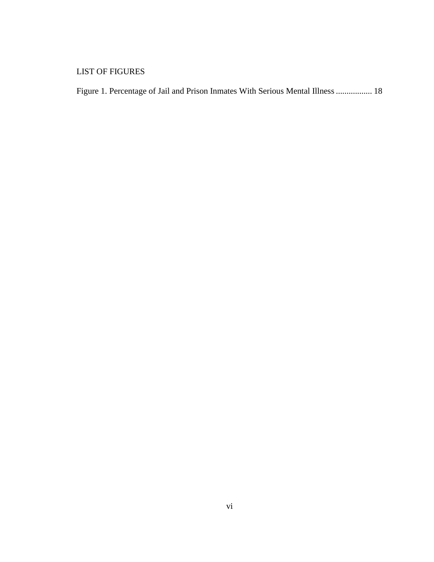# <span id="page-5-0"></span>LIST OF FIGURES

| Figure 1. Percentage of Jail and Prison Inmates With Serious Mental Illness  18 |  |
|---------------------------------------------------------------------------------|--|
|                                                                                 |  |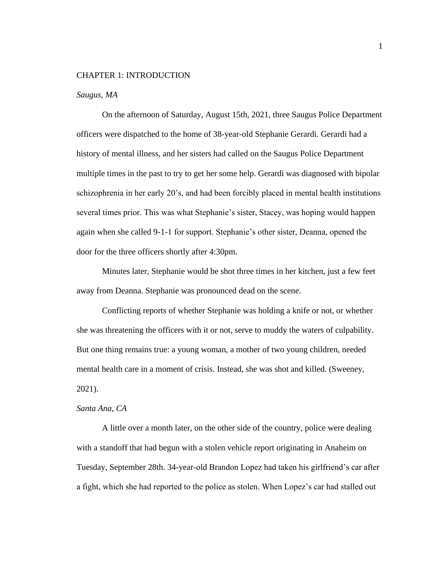#### <span id="page-6-0"></span>CHAPTER 1: INTRODUCTION

#### <span id="page-6-1"></span>*Saugus, MA*

On the afternoon of Saturday, August 15th, 2021, three Saugus Police Department officers were dispatched to the home of 38-year-old Stephanie Gerardi. Gerardi had a history of mental illness, and her sisters had called on the Saugus Police Department multiple times in the past to try to get her some help. Gerardi was diagnosed with bipolar schizophrenia in her early 20's, and had been forcibly placed in mental health institutions several times prior. This was what Stephanie's sister, Stacey, was hoping would happen again when she called 9-1-1 for support. Stephanie's other sister, Deanna, opened the door for the three officers shortly after 4:30pm.

Minutes later, Stephanie would be shot three times in her kitchen, just a few feet away from Deanna. Stephanie was pronounced dead on the scene.

Conflicting reports of whether Stephanie was holding a knife or not, or whether she was threatening the officers with it or not, serve to muddy the waters of culpability. But one thing remains true: a young woman, a mother of two young children, needed mental health care in a moment of crisis. Instead, she was shot and killed. (Sweeney, 2021).

#### <span id="page-6-2"></span>*Santa Ana, CA*

A little over a month later, on the other side of the country, police were dealing with a standoff that had begun with a stolen vehicle report originating in Anaheim on Tuesday, September 28th. 34-year-old Brandon Lopez had taken his girlfriend's car after a fight, which she had reported to the police as stolen. When Lopez's car had stalled out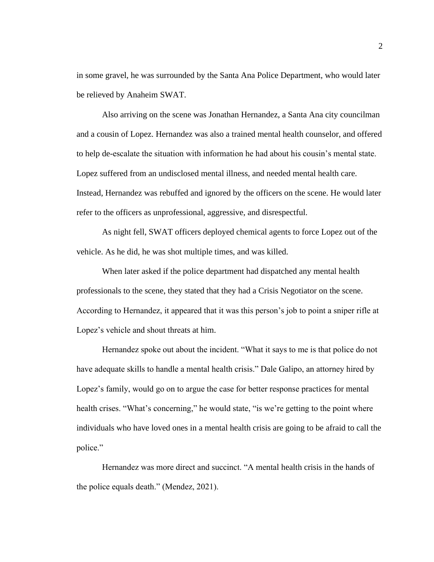in some gravel, he was surrounded by the Santa Ana Police Department, who would later be relieved by Anaheim SWAT.

Also arriving on the scene was Jonathan Hernandez, a Santa Ana city councilman and a cousin of Lopez. Hernandez was also a trained mental health counselor, and offered to help de-escalate the situation with information he had about his cousin's mental state. Lopez suffered from an undisclosed mental illness, and needed mental health care. Instead, Hernandez was rebuffed and ignored by the officers on the scene. He would later refer to the officers as unprofessional, aggressive, and disrespectful.

As night fell, SWAT officers deployed chemical agents to force Lopez out of the vehicle. As he did, he was shot multiple times, and was killed.

When later asked if the police department had dispatched any mental health professionals to the scene, they stated that they had a Crisis Negotiator on the scene. According to Hernandez, it appeared that it was this person's job to point a sniper rifle at Lopez's vehicle and shout threats at him.

Hernandez spoke out about the incident. "What it says to me is that police do not have adequate skills to handle a mental health crisis." Dale Galipo, an attorney hired by Lopez's family, would go on to argue the case for better response practices for mental health crises. "What's concerning," he would state, "is we're getting to the point where individuals who have loved ones in a mental health crisis are going to be afraid to call the police."

Hernandez was more direct and succinct. "A mental health crisis in the hands of the police equals death." (Mendez, 2021).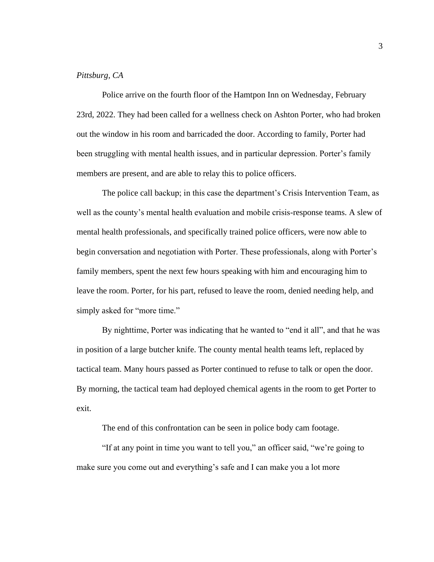## <span id="page-8-0"></span>*Pittsburg, CA*

Police arrive on the fourth floor of the Hamtpon Inn on Wednesday, February 23rd, 2022. They had been called for a wellness check on Ashton Porter, who had broken out the window in his room and barricaded the door. According to family, Porter had been struggling with mental health issues, and in particular depression. Porter's family members are present, and are able to relay this to police officers.

The police call backup; in this case the department's Crisis Intervention Team, as well as the county's mental health evaluation and mobile crisis-response teams. A slew of mental health professionals, and specifically trained police officers, were now able to begin conversation and negotiation with Porter. These professionals, along with Porter's family members, spent the next few hours speaking with him and encouraging him to leave the room. Porter, for his part, refused to leave the room, denied needing help, and simply asked for "more time."

By nighttime, Porter was indicating that he wanted to "end it all", and that he was in position of a large butcher knife. The county mental health teams left, replaced by tactical team. Many hours passed as Porter continued to refuse to talk or open the door. By morning, the tactical team had deployed chemical agents in the room to get Porter to exit.

The end of this confrontation can be seen in police body cam footage.

"If at any point in time you want to tell you," an officer said, "we're going to make sure you come out and everything's safe and I can make you a lot more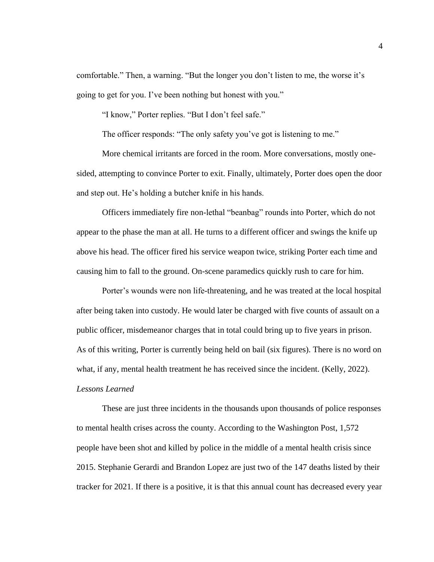comfortable." Then, a warning. "But the longer you don't listen to me, the worse it's going to get for you. I've been nothing but honest with you."

"I know," Porter replies. "But I don't feel safe."

The officer responds: "The only safety you've got is listening to me."

More chemical irritants are forced in the room. More conversations, mostly onesided, attempting to convince Porter to exit. Finally, ultimately, Porter does open the door and step out. He's holding a butcher knife in his hands.

Officers immediately fire non-lethal "beanbag" rounds into Porter, which do not appear to the phase the man at all. He turns to a different officer and swings the knife up above his head. The officer fired his service weapon twice, striking Porter each time and causing him to fall to the ground. On-scene paramedics quickly rush to care for him.

Porter's wounds were non life-threatening, and he was treated at the local hospital after being taken into custody. He would later be charged with five counts of assault on a public officer, misdemeanor charges that in total could bring up to five years in prison. As of this writing, Porter is currently being held on bail (six figures). There is no word on what, if any, mental health treatment he has received since the incident. (Kelly, 2022).

# <span id="page-9-0"></span>*Lessons Learned*

These are just three incidents in the thousands upon thousands of police responses to mental health crises across the county. According to the Washington Post, 1,572 people have been shot and killed by police in the middle of a mental health crisis since 2015. Stephanie Gerardi and Brandon Lopez are just two of the 147 deaths listed by their tracker for 2021. If there is a positive, it is that this annual count has decreased every year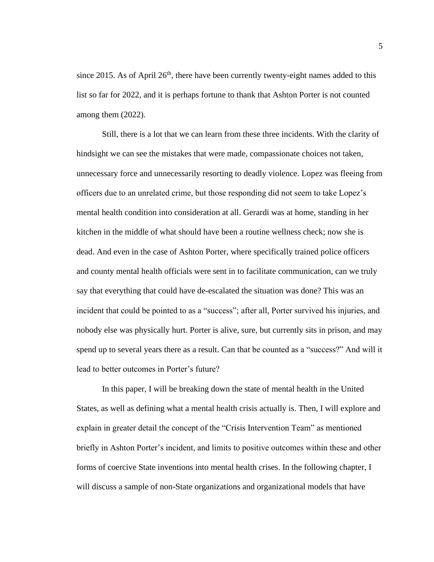since 2015. As of April  $26<sup>th</sup>$ , there have been currently twenty-eight names added to this list so far for 2022, and it is perhaps fortune to thank that Ashton Porter is not counted among them (2022).

Still, there is a lot that we can learn from these three incidents. With the clarity of hindsight we can see the mistakes that were made, compassionate choices not taken, unnecessary force and unnecessarily resorting to deadly violence. Lopez was fleeing from officers due to an unrelated crime, but those responding did not seem to take Lopez's mental health condition into consideration at all. Gerardi was at home, standing in her kitchen in the middle of what should have been a routine wellness check; now she is dead. And even in the case of Ashton Porter, where specifically trained police officers and county mental health officials were sent in to facilitate communication, can we truly say that everything that could have de-escalated the situation was done? This was an incident that could be pointed to as a "success"; after all, Porter survived his injuries, and nobody else was physically hurt. Porter is alive, sure, but currently sits in prison, and may spend up to several years there as a result. Can that be counted as a "success?" And will it lead to better outcomes in Porter's future?

In this paper, I will be breaking down the state of mental health in the United States, as well as defining what a mental health crisis actually is. Then, I will explore and explain in greater detail the concept of the "Crisis Intervention Team" as mentioned briefly in Ashton Porter's incident, and limits to positive outcomes within these and other forms of coercive State inventions into mental health crises. In the following chapter, I will discuss a sample of non-State organizations and organizational models that have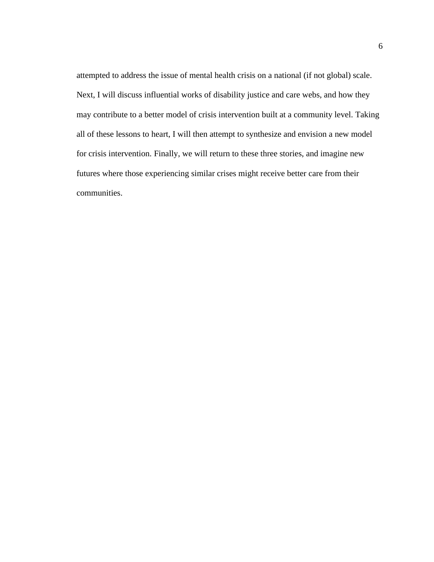attempted to address the issue of mental health crisis on a national (if not global) scale. Next, I will discuss influential works of disability justice and care webs, and how they may contribute to a better model of crisis intervention built at a community level. Taking all of these lessons to heart, I will then attempt to synthesize and envision a new model for crisis intervention. Finally, we will return to these three stories, and imagine new futures where those experiencing similar crises might receive better care from their communities.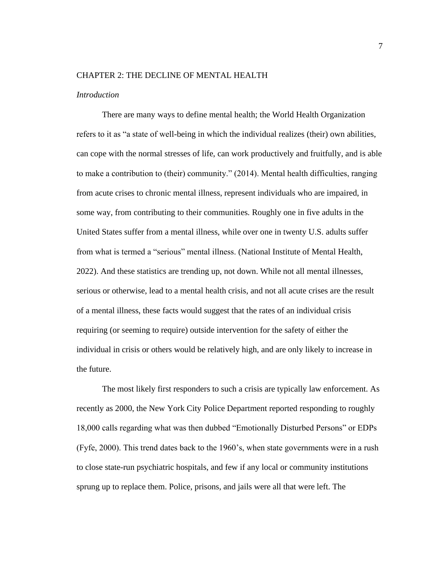#### <span id="page-12-0"></span>CHAPTER 2: THE DECLINE OF MENTAL HEALTH

#### <span id="page-12-1"></span>*Introduction*

There are many ways to define mental health; the World Health Organization refers to it as "a state of well-being in which the individual realizes (their) own abilities, can cope with the normal stresses of life, can work productively and fruitfully, and is able to make a contribution to (their) community." (2014). Mental health difficulties, ranging from acute crises to chronic mental illness, represent individuals who are impaired, in some way, from contributing to their communities. Roughly one in five adults in the United States suffer from a mental illness, while over one in twenty U.S. adults suffer from what is termed a "serious" mental illness. (National Institute of Mental Health, 2022). And these statistics are trending up, not down. While not all mental illnesses, serious or otherwise, lead to a mental health crisis, and not all acute crises are the result of a mental illness, these facts would suggest that the rates of an individual crisis requiring (or seeming to require) outside intervention for the safety of either the individual in crisis or others would be relatively high, and are only likely to increase in the future.

The most likely first responders to such a crisis are typically law enforcement. As recently as 2000, the New York City Police Department reported responding to roughly 18,000 calls regarding what was then dubbed "Emotionally Disturbed Persons" or EDPs (Fyfe, 2000). This trend dates back to the 1960's, when state governments were in a rush to close state-run psychiatric hospitals, and few if any local or community institutions sprung up to replace them. Police, prisons, and jails were all that were left. The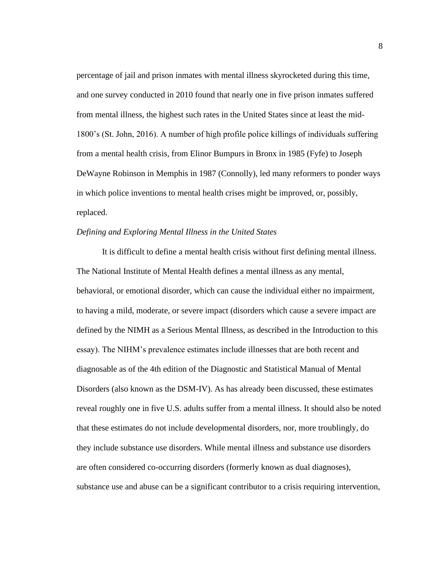percentage of jail and prison inmates with mental illness skyrocketed during this time, and one survey conducted in 2010 found that nearly one in five prison inmates suffered from mental illness, the highest such rates in the United States since at least the mid-1800's (St. John, 2016). A number of high profile police killings of individuals suffering from a mental health crisis, from Elinor Bumpurs in Bronx in 1985 (Fyfe) to Joseph DeWayne Robinson in Memphis in 1987 (Connolly), led many reformers to ponder ways in which police inventions to mental health crises might be improved, or, possibly, replaced.

## <span id="page-13-0"></span>*Defining and Exploring Mental Illness in the United States*

It is difficult to define a mental health crisis without first defining mental illness. The National Institute of Mental Health defines a mental illness as any mental, behavioral, or emotional disorder, which can cause the individual either no impairment, to having a mild, moderate, or severe impact (disorders which cause a severe impact are defined by the NIMH as a Serious Mental Illness, as described in the Introduction to this essay). The NIHM's prevalence estimates include illnesses that are both recent and diagnosable as of the 4th edition of the Diagnostic and Statistical Manual of Mental Disorders (also known as the DSM-IV). As has already been discussed, these estimates reveal roughly one in five U.S. adults suffer from a mental illness. It should also be noted that these estimates do not include developmental disorders, nor, more troublingly, do they include substance use disorders. While mental illness and substance use disorders are often considered co-occurring disorders (formerly known as dual diagnoses), substance use and abuse can be a significant contributor to a crisis requiring intervention,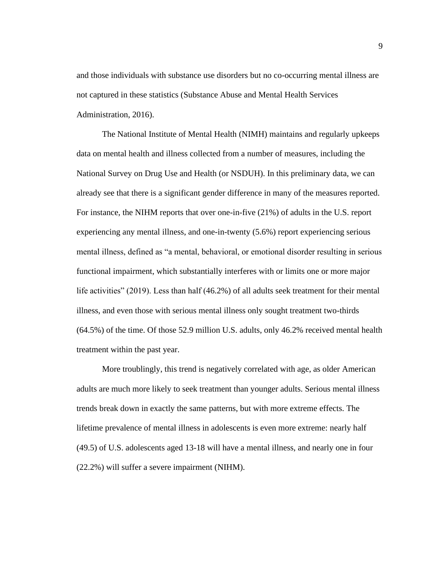and those individuals with substance use disorders but no co-occurring mental illness are not captured in these statistics (Substance Abuse and Mental Health Services Administration, 2016).

The National Institute of Mental Health (NIMH) maintains and regularly upkeeps data on mental health and illness collected from a number of measures, including the National Survey on Drug Use and Health (or NSDUH). In this preliminary data, we can already see that there is a significant gender difference in many of the measures reported. For instance, the NIHM reports that over one-in-five (21%) of adults in the U.S. report experiencing any mental illness, and one-in-twenty (5.6%) report experiencing serious mental illness, defined as "a mental, behavioral, or emotional disorder resulting in serious functional impairment, which substantially interferes with or limits one or more major life activities" (2019). Less than half (46.2%) of all adults seek treatment for their mental illness, and even those with serious mental illness only sought treatment two-thirds (64.5%) of the time. Of those 52.9 million U.S. adults, only 46.2% received mental health treatment within the past year.

More troublingly, this trend is negatively correlated with age, as older American adults are much more likely to seek treatment than younger adults. Serious mental illness trends break down in exactly the same patterns, but with more extreme effects. The lifetime prevalence of mental illness in adolescents is even more extreme: nearly half (49.5) of U.S. adolescents aged 13-18 will have a mental illness, and nearly one in four (22.2%) will suffer a severe impairment (NIHM).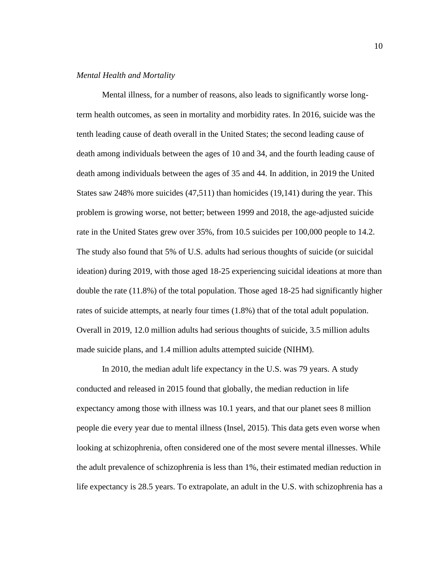### <span id="page-15-0"></span>*Mental Health and Mortality*

Mental illness, for a number of reasons, also leads to significantly worse longterm health outcomes, as seen in mortality and morbidity rates. In 2016, suicide was the tenth leading cause of death overall in the United States; the second leading cause of death among individuals between the ages of 10 and 34, and the fourth leading cause of death among individuals between the ages of 35 and 44. In addition, in 2019 the United States saw 248% more suicides (47,511) than homicides (19,141) during the year. This problem is growing worse, not better; between 1999 and 2018, the age-adjusted suicide rate in the United States grew over 35%, from 10.5 suicides per 100,000 people to 14.2. The study also found that 5% of U.S. adults had serious thoughts of suicide (or suicidal ideation) during 2019, with those aged 18-25 experiencing suicidal ideations at more than double the rate (11.8%) of the total population. Those aged 18-25 had significantly higher rates of suicide attempts, at nearly four times (1.8%) that of the total adult population. Overall in 2019, 12.0 million adults had serious thoughts of suicide, 3.5 million adults made suicide plans, and 1.4 million adults attempted suicide (NIHM).

In 2010, the median adult life expectancy in the U.S. was 79 years. A study conducted and released in 2015 found that globally, the median reduction in life expectancy among those with illness was 10.1 years, and that our planet sees 8 million people die every year due to mental illness (Insel, 2015). This data gets even worse when looking at schizophrenia, often considered one of the most severe mental illnesses. While the adult prevalence of schizophrenia is less than 1%, their estimated median reduction in life expectancy is 28.5 years. To extrapolate, an adult in the U.S. with schizophrenia has a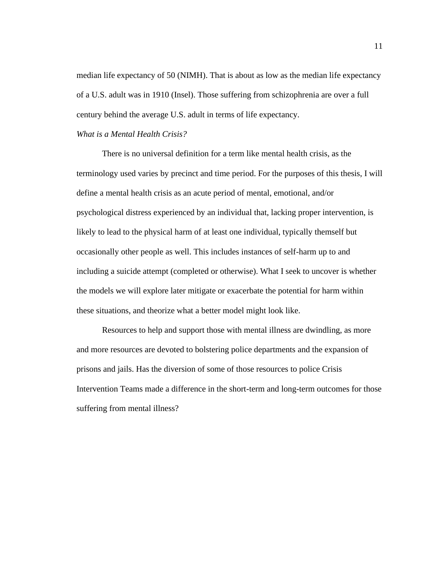median life expectancy of 50 (NIMH). That is about as low as the median life expectancy of a U.S. adult was in 1910 (Insel). Those suffering from schizophrenia are over a full century behind the average U.S. adult in terms of life expectancy.

#### <span id="page-16-0"></span>*What is a Mental Health Crisis?*

There is no universal definition for a term like mental health crisis, as the terminology used varies by precinct and time period. For the purposes of this thesis, I will define a mental health crisis as an acute period of mental, emotional, and/or psychological distress experienced by an individual that, lacking proper intervention, is likely to lead to the physical harm of at least one individual, typically themself but occasionally other people as well. This includes instances of self-harm up to and including a suicide attempt (completed or otherwise). What I seek to uncover is whether the models we will explore later mitigate or exacerbate the potential for harm within these situations, and theorize what a better model might look like.

Resources to help and support those with mental illness are dwindling, as more and more resources are devoted to bolstering police departments and the expansion of prisons and jails. Has the diversion of some of those resources to police Crisis Intervention Teams made a difference in the short-term and long-term outcomes for those suffering from mental illness?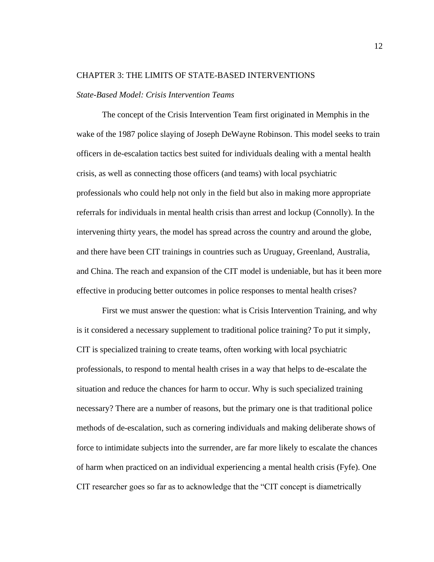#### <span id="page-17-0"></span>CHAPTER 3: THE LIMITS OF STATE-BASED INTERVENTIONS

#### <span id="page-17-1"></span>*State-Based Model: Crisis Intervention Teams*

The concept of the Crisis Intervention Team first originated in Memphis in the wake of the 1987 police slaying of Joseph DeWayne Robinson. This model seeks to train officers in de-escalation tactics best suited for individuals dealing with a mental health crisis, as well as connecting those officers (and teams) with local psychiatric professionals who could help not only in the field but also in making more appropriate referrals for individuals in mental health crisis than arrest and lockup (Connolly). In the intervening thirty years, the model has spread across the country and around the globe, and there have been CIT trainings in countries such as Uruguay, Greenland, Australia, and China. The reach and expansion of the CIT model is undeniable, but has it been more effective in producing better outcomes in police responses to mental health crises?

First we must answer the question: what is Crisis Intervention Training, and why is it considered a necessary supplement to traditional police training? To put it simply, CIT is specialized training to create teams, often working with local psychiatric professionals, to respond to mental health crises in a way that helps to de-escalate the situation and reduce the chances for harm to occur. Why is such specialized training necessary? There are a number of reasons, but the primary one is that traditional police methods of de-escalation, such as cornering individuals and making deliberate shows of force to intimidate subjects into the surrender, are far more likely to escalate the chances of harm when practiced on an individual experiencing a mental health crisis (Fyfe). One CIT researcher goes so far as to acknowledge that the "CIT concept is diametrically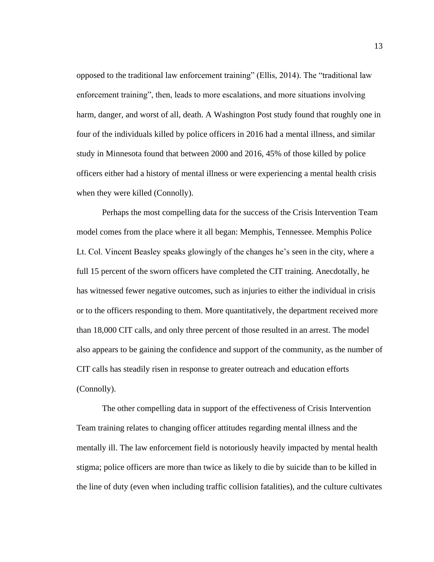opposed to the traditional law enforcement training" (Ellis, 2014). The "traditional law enforcement training", then, leads to more escalations, and more situations involving harm, danger, and worst of all, death. A Washington Post study found that roughly one in four of the individuals killed by police officers in 2016 had a mental illness, and similar study in Minnesota found that between 2000 and 2016, 45% of those killed by police officers either had a history of mental illness or were experiencing a mental health crisis when they were killed (Connolly).

Perhaps the most compelling data for the success of the Crisis Intervention Team model comes from the place where it all began: Memphis, Tennessee. Memphis Police Lt. Col. Vincent Beasley speaks glowingly of the changes he's seen in the city, where a full 15 percent of the sworn officers have completed the CIT training. Anecdotally, he has witnessed fewer negative outcomes, such as injuries to either the individual in crisis or to the officers responding to them. More quantitatively, the department received more than 18,000 CIT calls, and only three percent of those resulted in an arrest. The model also appears to be gaining the confidence and support of the community, as the number of CIT calls has steadily risen in response to greater outreach and education efforts (Connolly).

The other compelling data in support of the effectiveness of Crisis Intervention Team training relates to changing officer attitudes regarding mental illness and the mentally ill. The law enforcement field is notoriously heavily impacted by mental health stigma; police officers are more than twice as likely to die by suicide than to be killed in the line of duty (even when including traffic collision fatalities), and the culture cultivates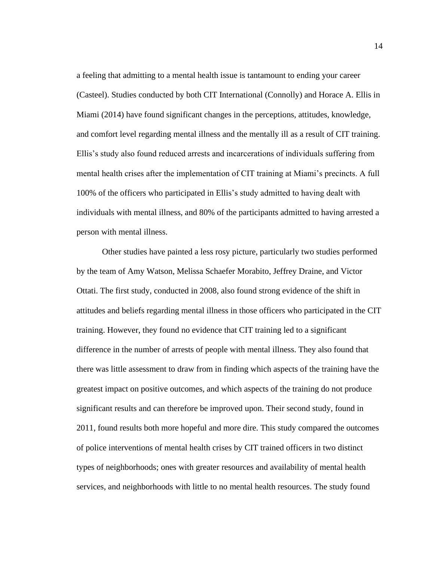a feeling that admitting to a mental health issue is tantamount to ending your career (Casteel). Studies conducted by both CIT International (Connolly) and Horace A. Ellis in Miami (2014) have found significant changes in the perceptions, attitudes, knowledge, and comfort level regarding mental illness and the mentally ill as a result of CIT training. Ellis's study also found reduced arrests and incarcerations of individuals suffering from mental health crises after the implementation of CIT training at Miami's precincts. A full 100% of the officers who participated in Ellis's study admitted to having dealt with individuals with mental illness, and 80% of the participants admitted to having arrested a person with mental illness.

Other studies have painted a less rosy picture, particularly two studies performed by the team of Amy Watson, Melissa Schaefer Morabito, Jeffrey Draine, and Victor Ottati. The first study, conducted in 2008, also found strong evidence of the shift in attitudes and beliefs regarding mental illness in those officers who participated in the CIT training. However, they found no evidence that CIT training led to a significant difference in the number of arrests of people with mental illness. They also found that there was little assessment to draw from in finding which aspects of the training have the greatest impact on positive outcomes, and which aspects of the training do not produce significant results and can therefore be improved upon. Their second study, found in 2011, found results both more hopeful and more dire. This study compared the outcomes of police interventions of mental health crises by CIT trained officers in two distinct types of neighborhoods; ones with greater resources and availability of mental health services, and neighborhoods with little to no mental health resources. The study found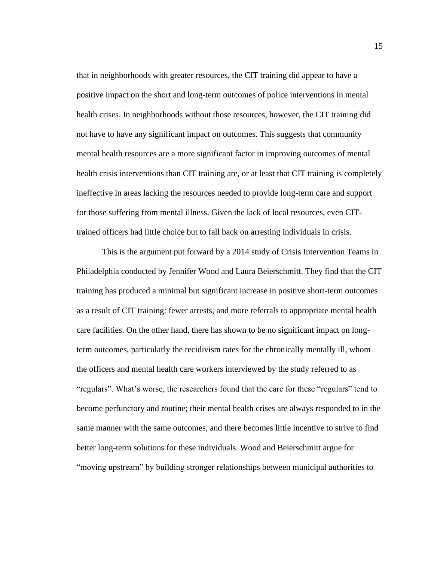that in neighborhoods with greater resources, the CIT training did appear to have a positive impact on the short and long-term outcomes of police interventions in mental health crises. In neighborhoods without those resources, however, the CIT training did not have to have any significant impact on outcomes. This suggests that community mental health resources are a more significant factor in improving outcomes of mental health crisis interventions than CIT training are, or at least that CIT training is completely ineffective in areas lacking the resources needed to provide long-term care and support for those suffering from mental illness. Given the lack of local resources, even CITtrained officers had little choice but to fall back on arresting individuals in crisis.

This is the argument put forward by a 2014 study of Crisis Intervention Teams in Philadelphia conducted by Jennifer Wood and Laura Beierschmitt. They find that the CIT training has produced a minimal but significant increase in positive short-term outcomes as a result of CIT training: fewer arrests, and more referrals to appropriate mental health care facilities. On the other hand, there has shown to be no significant impact on longterm outcomes, particularly the recidivism rates for the chronically mentally ill, whom the officers and mental health care workers interviewed by the study referred to as "regulars". What's worse, the researchers found that the care for these "regulars" tend to become perfunctory and routine; their mental health crises are always responded to in the same manner with the same outcomes, and there becomes little incentive to strive to find better long-term solutions for these individuals. Wood and Beierschmitt argue for "moving upstream" by building stronger relationships between municipal authorities to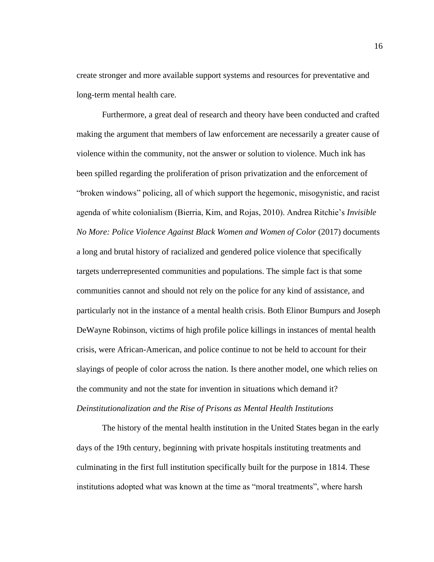create stronger and more available support systems and resources for preventative and long-term mental health care.

Furthermore, a great deal of research and theory have been conducted and crafted making the argument that members of law enforcement are necessarily a greater cause of violence within the community, not the answer or solution to violence. Much ink has been spilled regarding the proliferation of prison privatization and the enforcement of "broken windows" policing, all of which support the hegemonic, misogynistic, and racist agenda of white colonialism (Bierria, Kim, and Rojas, 2010). Andrea Ritchie's *Invisible No More: Police Violence Against Black Women and Women of Color* (2017) documents a long and brutal history of racialized and gendered police violence that specifically targets underrepresented communities and populations. The simple fact is that some communities cannot and should not rely on the police for any kind of assistance, and particularly not in the instance of a mental health crisis. Both Elinor Bumpurs and Joseph DeWayne Robinson, victims of high profile police killings in instances of mental health crisis, were African-American, and police continue to not be held to account for their slayings of people of color across the nation. Is there another model, one which relies on the community and not the state for invention in situations which demand it? *Deinstitutionalization and the Rise of Prisons as Mental Health Institutions*

<span id="page-21-0"></span>The history of the mental health institution in the United States began in the early days of the 19th century, beginning with private hospitals instituting treatments and culminating in the first full institution specifically built for the purpose in 1814. These institutions adopted what was known at the time as "moral treatments", where harsh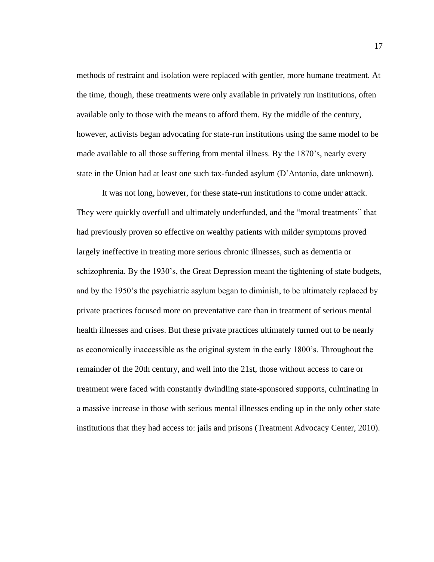methods of restraint and isolation were replaced with gentler, more humane treatment. At the time, though, these treatments were only available in privately run institutions, often available only to those with the means to afford them. By the middle of the century, however, activists began advocating for state-run institutions using the same model to be made available to all those suffering from mental illness. By the 1870's, nearly every state in the Union had at least one such tax-funded asylum (D'Antonio, date unknown).

It was not long, however, for these state-run institutions to come under attack. They were quickly overfull and ultimately underfunded, and the "moral treatments" that had previously proven so effective on wealthy patients with milder symptoms proved largely ineffective in treating more serious chronic illnesses, such as dementia or schizophrenia. By the 1930's, the Great Depression meant the tightening of state budgets, and by the 1950's the psychiatric asylum began to diminish, to be ultimately replaced by private practices focused more on preventative care than in treatment of serious mental health illnesses and crises. But these private practices ultimately turned out to be nearly as economically inaccessible as the original system in the early 1800's. Throughout the remainder of the 20th century, and well into the 21st, those without access to care or treatment were faced with constantly dwindling state-sponsored supports, culminating in a massive increase in those with serious mental illnesses ending up in the only other state institutions that they had access to: jails and prisons (Treatment Advocacy Center, 2010).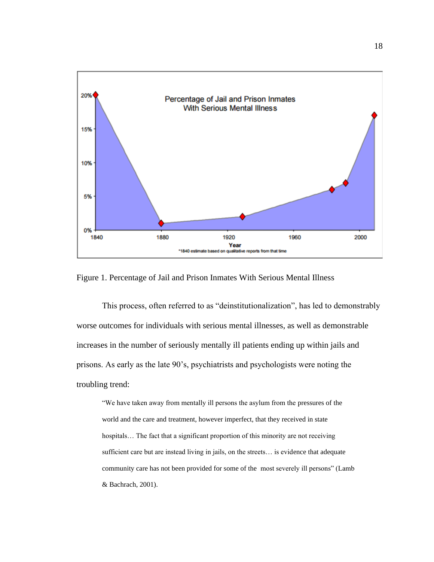

<span id="page-23-0"></span>Figure 1. Percentage of Jail and Prison Inmates With Serious Mental Illness

This process, often referred to as "deinstitutionalization", has led to demonstrably worse outcomes for individuals with serious mental illnesses, as well as demonstrable increases in the number of seriously mentally ill patients ending up within jails and prisons. As early as the late 90's, psychiatrists and psychologists were noting the troubling trend:

"We have taken away from mentally ill persons the asylum from the pressures of the world and the care and treatment, however imperfect, that they received in state hospitals... The fact that a significant proportion of this minority are not receiving sufficient care but are instead living in jails, on the streets… is evidence that adequate community care has not been provided for some of the most severely ill persons" (Lamb & Bachrach, 2001).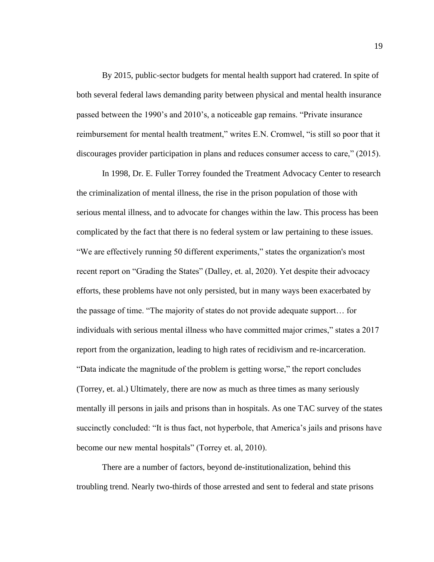By 2015, public-sector budgets for mental health support had cratered. In spite of both several federal laws demanding parity between physical and mental health insurance passed between the 1990's and 2010's, a noticeable gap remains. "Private insurance reimbursement for mental health treatment," writes E.N. Cromwel, "is still so poor that it discourages provider participation in plans and reduces consumer access to care," (2015).

In 1998, Dr. E. Fuller Torrey founded the Treatment Advocacy Center to research the criminalization of mental illness, the rise in the prison population of those with serious mental illness, and to advocate for changes within the law. This process has been complicated by the fact that there is no federal system or law pertaining to these issues. "We are effectively running 50 different experiments," states the organization's most recent report on "Grading the States" (Dalley, et. al, 2020). Yet despite their advocacy efforts, these problems have not only persisted, but in many ways been exacerbated by the passage of time. "The majority of states do not provide adequate support… for individuals with serious mental illness who have committed major crimes," states a 2017 report from the organization, leading to high rates of recidivism and re-incarceration. "Data indicate the magnitude of the problem is getting worse," the report concludes (Torrey, et. al.) Ultimately, there are now as much as three times as many seriously mentally ill persons in jails and prisons than in hospitals. As one TAC survey of the states succinctly concluded: "It is thus fact, not hyperbole, that America's jails and prisons have become our new mental hospitals" (Torrey et. al, 2010).

There are a number of factors, beyond de-institutionalization, behind this troubling trend. Nearly two-thirds of those arrested and sent to federal and state prisons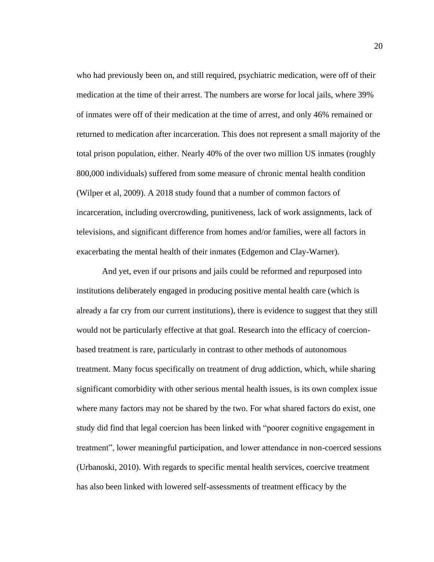who had previously been on, and still required, psychiatric medication, were off of their medication at the time of their arrest. The numbers are worse for local jails, where 39% of inmates were off of their medication at the time of arrest, and only 46% remained or returned to medication after incarceration. This does not represent a small majority of the total prison population, either. Nearly 40% of the over two million US inmates (roughly 800,000 individuals) suffered from some measure of chronic mental health condition (Wilper et al, 2009). A 2018 study found that a number of common factors of incarceration, including overcrowding, punitiveness, lack of work assignments, lack of televisions, and significant difference from homes and/or families, were all factors in exacerbating the mental health of their inmates (Edgemon and Clay-Warner).

And yet, even if our prisons and jails could be reformed and repurposed into institutions deliberately engaged in producing positive mental health care (which is already a far cry from our current institutions), there is evidence to suggest that they still would not be particularly effective at that goal. Research into the efficacy of coercionbased treatment is rare, particularly in contrast to other methods of autonomous treatment. Many focus specifically on treatment of drug addiction, which, while sharing significant comorbidity with other serious mental health issues, is its own complex issue where many factors may not be shared by the two. For what shared factors do exist, one study did find that legal coercion has been linked with "poorer cognitive engagement in treatment", lower meaningful participation, and lower attendance in non-coerced sessions (Urbanoski, 2010). With regards to specific mental health services, coercive treatment has also been linked with lowered self-assessments of treatment efficacy by the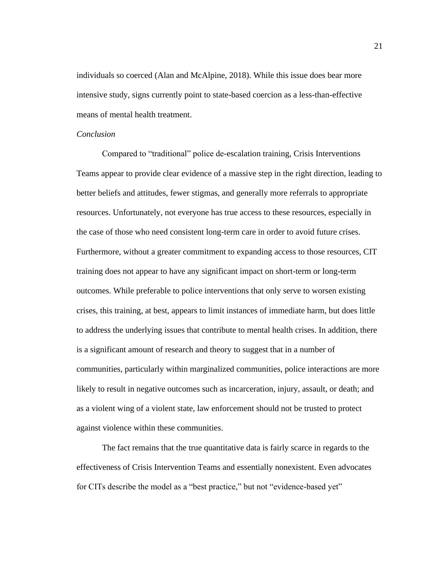individuals so coerced (Alan and McAlpine, 2018). While this issue does bear more intensive study, signs currently point to state-based coercion as a less-than-effective means of mental health treatment.

#### <span id="page-26-0"></span>*Conclusion*

Compared to "traditional" police de-escalation training, Crisis Interventions Teams appear to provide clear evidence of a massive step in the right direction, leading to better beliefs and attitudes, fewer stigmas, and generally more referrals to appropriate resources. Unfortunately, not everyone has true access to these resources, especially in the case of those who need consistent long-term care in order to avoid future crises. Furthermore, without a greater commitment to expanding access to those resources, CIT training does not appear to have any significant impact on short-term or long-term outcomes. While preferable to police interventions that only serve to worsen existing crises, this training, at best, appears to limit instances of immediate harm, but does little to address the underlying issues that contribute to mental health crises. In addition, there is a significant amount of research and theory to suggest that in a number of communities, particularly within marginalized communities, police interactions are more likely to result in negative outcomes such as incarceration, injury, assault, or death; and as a violent wing of a violent state, law enforcement should not be trusted to protect against violence within these communities.

The fact remains that the true quantitative data is fairly scarce in regards to the effectiveness of Crisis Intervention Teams and essentially nonexistent. Even advocates for CITs describe the model as a "best practice," but not "evidence-based yet"

21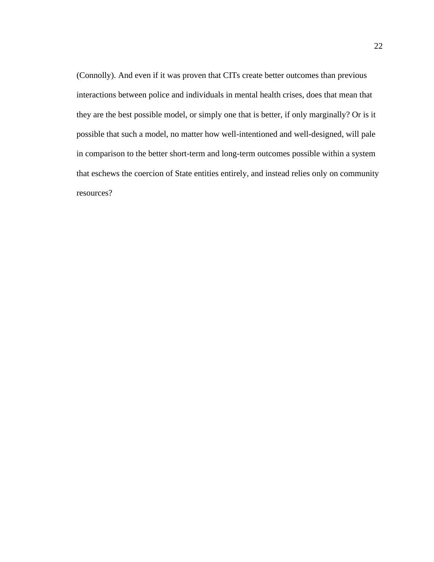(Connolly). And even if it was proven that CITs create better outcomes than previous interactions between police and individuals in mental health crises, does that mean that they are the best possible model, or simply one that is better, if only marginally? Or is it possible that such a model, no matter how well-intentioned and well-designed, will pale in comparison to the better short-term and long-term outcomes possible within a system that eschews the coercion of State entities entirely, and instead relies only on community resources?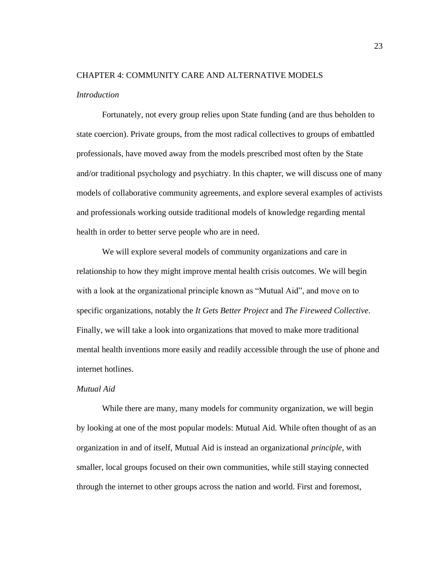# <span id="page-28-1"></span><span id="page-28-0"></span>CHAPTER 4: COMMUNITY CARE AND ALTERNATIVE MODELS *Introduction*

Fortunately, not every group relies upon State funding (and are thus beholden to state coercion). Private groups, from the most radical collectives to groups of embattled professionals, have moved away from the models prescribed most often by the State and/or traditional psychology and psychiatry. In this chapter, we will discuss one of many models of collaborative community agreements, and explore several examples of activists and professionals working outside traditional models of knowledge regarding mental health in order to better serve people who are in need.

We will explore several models of community organizations and care in relationship to how they might improve mental health crisis outcomes. We will begin with a look at the organizational principle known as "Mutual Aid", and move on to specific organizations, notably the *It Gets Better Project* and *The Fireweed Collective*. Finally, we will take a look into organizations that moved to make more traditional mental health inventions more easily and readily accessible through the use of phone and internet hotlines.

### <span id="page-28-2"></span>*Mutual Aid*

While there are many, many models for community organization, we will begin by looking at one of the most popular models: Mutual Aid. While often thought of as an organization in and of itself, Mutual Aid is instead an organizational *principle*, with smaller, local groups focused on their own communities, while still staying connected through the internet to other groups across the nation and world. First and foremost,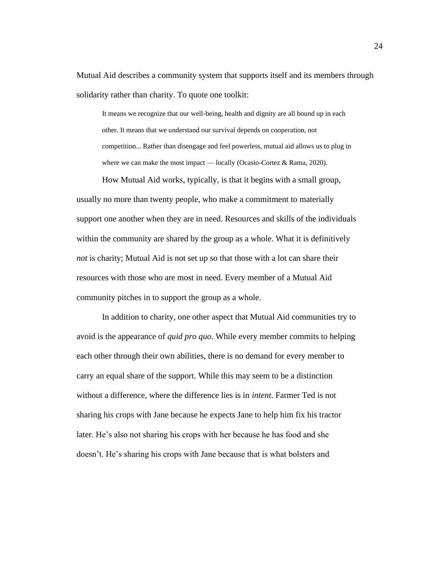Mutual Aid describes a community system that supports itself and its members through solidarity rather than charity. To quote one toolkit:

It means we recognize that our well-being, health and dignity are all bound up in each other. It means that we understand our survival depends on cooperation, not competition... Rather than disengage and feel powerless, mutual aid allows us to plug in where we can make the most impact — locally (Ocasio-Cortez & Rama, 2020).

How Mutual Aid works, typically, is that it begins with a small group, usually no more than twenty people, who make a commitment to materially support one another when they are in need. Resources and skills of the individuals within the community are shared by the group as a whole. What it is definitively *not* is charity; Mutual Aid is not set up so that those with a lot can share their resources with those who are most in need. Every member of a Mutual Aid community pitches in to support the group as a whole.

In addition to charity, one other aspect that Mutual Aid communities try to avoid is the appearance of *quid pro quo*. While every member commits to helping each other through their own abilities, there is no demand for every member to carry an equal share of the support. While this may seem to be a distinction without a difference, where the difference lies is in *intent*. Farmer Ted is not sharing his crops with Jane because he expects Jane to help him fix his tractor later. He's also not sharing his crops with her because he has food and she doesn't. He's sharing his crops with Jane because that is what bolsters and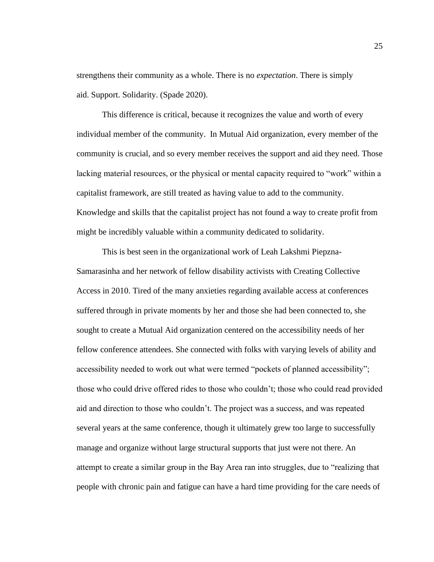strengthens their community as a whole. There is no *expectation*. There is simply aid. Support. Solidarity. (Spade 2020).

This difference is critical, because it recognizes the value and worth of every individual member of the community. In Mutual Aid organization, every member of the community is crucial, and so every member receives the support and aid they need. Those lacking material resources, or the physical or mental capacity required to "work" within a capitalist framework, are still treated as having value to add to the community. Knowledge and skills that the capitalist project has not found a way to create profit from might be incredibly valuable within a community dedicated to solidarity.

This is best seen in the organizational work of Leah Lakshmi Piepzna-Samarasinha and her network of fellow disability activists with Creating Collective Access in 2010. Tired of the many anxieties regarding available access at conferences suffered through in private moments by her and those she had been connected to, she sought to create a Mutual Aid organization centered on the accessibility needs of her fellow conference attendees. She connected with folks with varying levels of ability and accessibility needed to work out what were termed "pockets of planned accessibility"; those who could drive offered rides to those who couldn't; those who could read provided aid and direction to those who couldn't. The project was a success, and was repeated several years at the same conference, though it ultimately grew too large to successfully manage and organize without large structural supports that just were not there. An attempt to create a similar group in the Bay Area ran into struggles, due to "realizing that people with chronic pain and fatigue can have a hard time providing for the care needs of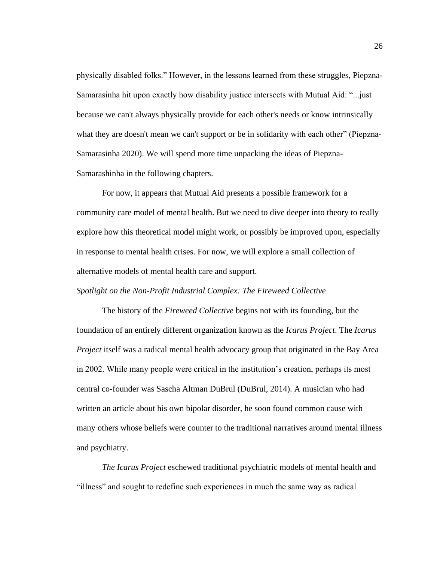physically disabled folks." However, in the lessons learned from these struggles, Piepzna-Samarasinha hit upon exactly how disability justice intersects with Mutual Aid: "...just because we can't always physically provide for each other's needs or know intrinsically what they are doesn't mean we can't support or be in solidarity with each other" (Piepzna-Samarasinha 2020). We will spend more time unpacking the ideas of Piepzna-Samarashinha in the following chapters.

For now, it appears that Mutual Aid presents a possible framework for a community care model of mental health. But we need to dive deeper into theory to really explore how this theoretical model might work, or possibly be improved upon, especially in response to mental health crises. For now, we will explore a small collection of alternative models of mental health care and support.

#### <span id="page-31-0"></span>*Spotlight on the Non-Profit Industrial Complex: The Fireweed Collective*

The history of the *Fireweed Collective* begins not with its founding, but the foundation of an entirely different organization known as the *Icarus Project*. The *Icarus Project* itself was a radical mental health advocacy group that originated in the Bay Area in 2002. While many people were critical in the institution's creation, perhaps its most central co-founder was Sascha Altman DuBrul (DuBrul, 2014). A musician who had written an article about his own bipolar disorder, he soon found common cause with many others whose beliefs were counter to the traditional narratives around mental illness and psychiatry.

*The Icarus Project* eschewed traditional psychiatric models of mental health and "illness" and sought to redefine such experiences in much the same way as radical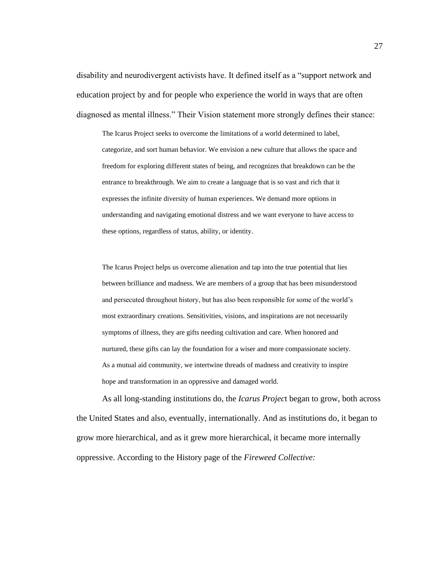disability and neurodivergent activists have. It defined itself as a "support network and education project by and for people who experience the world in ways that are often diagnosed as mental illness." Their Vision statement more strongly defines their stance:

The Icarus Project seeks to overcome the limitations of a world determined to label, categorize, and sort human behavior. We envision a new culture that allows the space and freedom for exploring different states of being, and recognizes that breakdown can be the entrance to breakthrough. We aim to create a language that is so vast and rich that it expresses the infinite diversity of human experiences. We demand more options in understanding and navigating emotional distress and we want everyone to have access to these options, regardless of status, ability, or identity.

The Icarus Project helps us overcome alienation and tap into the true potential that lies between brilliance and madness. We are members of a group that has been misunderstood and persecuted throughout history, but has also been responsible for some of the world's most extraordinary creations. Sensitivities, visions, and inspirations are not necessarily symptoms of illness, they are gifts needing cultivation and care. When honored and nurtured, these gifts can lay the foundation for a wiser and more compassionate society. As a mutual aid community, we intertwine threads of madness and creativity to inspire hope and transformation in an oppressive and damaged world.

As all long-standing institutions do, the *Icarus Projec*t began to grow, both across the United States and also, eventually, internationally. And as institutions do, it began to grow more hierarchical, and as it grew more hierarchical, it became more internally oppressive. According to the History page of the *Fireweed Collective:*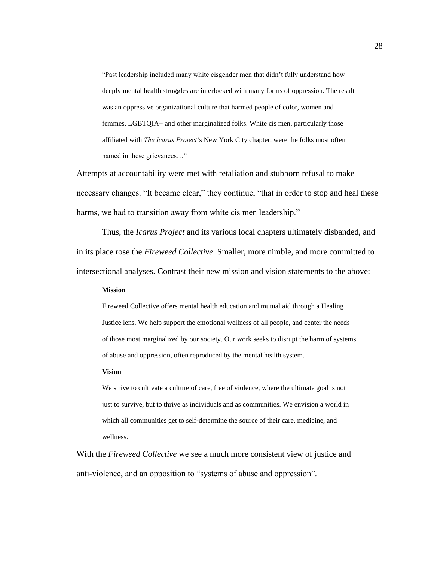"Past leadership included many white cisgender men that didn't fully understand how deeply mental health struggles are interlocked with many forms of oppression. The result was an oppressive organizational culture that harmed people of color, women and femmes, LGBTQIA+ and other marginalized folks. White cis men, particularly those affiliated with *The Icarus Project'*s New York City chapter, were the folks most often named in these grievances…"

Attempts at accountability were met with retaliation and stubborn refusal to make necessary changes. "It became clear," they continue, "that in order to stop and heal these harms, we had to transition away from white cis men leadership."

Thus, the *Icarus Project* and its various local chapters ultimately disbanded, and in its place rose the *Fireweed Collective*. Smaller, more nimble, and more committed to intersectional analyses. Contrast their new mission and vision statements to the above:

#### **Mission**

Fireweed Collective offers mental health education and mutual aid through a Healing Justice lens. We help support the emotional wellness of all people, and center the needs of those most marginalized by our society. Our work seeks to disrupt the harm of systems of abuse and oppression, often reproduced by the mental health system.

#### **Vision**

We strive to cultivate a culture of care, free of violence, where the ultimate goal is not just to survive, but to thrive as individuals and as communities. We envision a world in which all communities get to self-determine the source of their care, medicine, and wellness.

With the *Fireweed Collective* we see a much more consistent view of justice and anti-violence, and an opposition to "systems of abuse and oppression".

28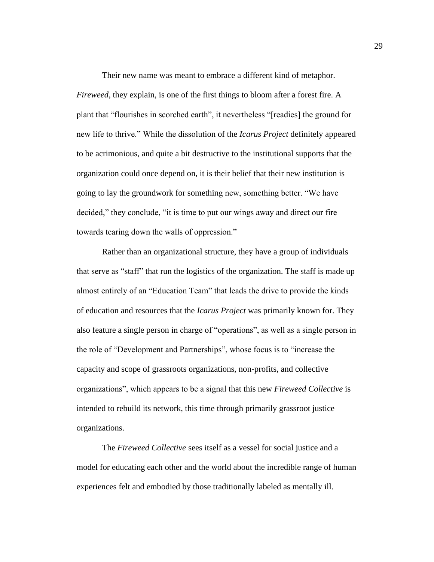Their new name was meant to embrace a different kind of metaphor. *Fireweed*, they explain, is one of the first things to bloom after a forest fire. A plant that "flourishes in scorched earth", it nevertheless "[readies] the ground for new life to thrive." While the dissolution of the *Icarus Project* definitely appeared to be acrimonious, and quite a bit destructive to the institutional supports that the organization could once depend on, it is their belief that their new institution is going to lay the groundwork for something new, something better. "We have decided," they conclude, "it is time to put our wings away and direct our fire towards tearing down the walls of oppression."

Rather than an organizational structure, they have a group of individuals that serve as "staff" that run the logistics of the organization. The staff is made up almost entirely of an "Education Team" that leads the drive to provide the kinds of education and resources that the *Icarus Project* was primarily known for. They also feature a single person in charge of "operations", as well as a single person in the role of "Development and Partnerships", whose focus is to "increase the capacity and scope of grassroots organizations, non-profits, and collective organizations", which appears to be a signal that this new *Fireweed Collective* is intended to rebuild its network, this time through primarily grassroot justice organizations.

The *Fireweed Collective* sees itself as a vessel for social justice and a model for educating each other and the world about the incredible range of human experiences felt and embodied by those traditionally labeled as mentally ill.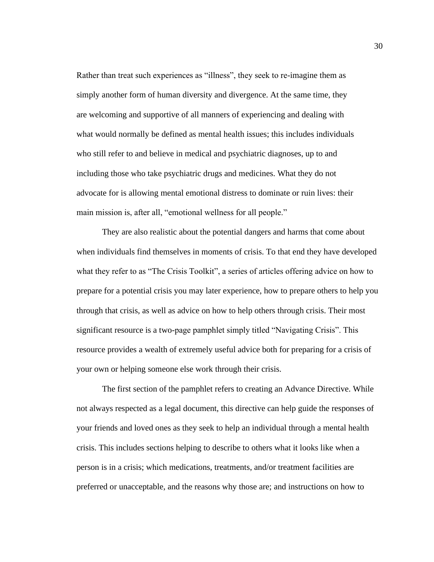Rather than treat such experiences as "illness", they seek to re-imagine them as simply another form of human diversity and divergence. At the same time, they are welcoming and supportive of all manners of experiencing and dealing with what would normally be defined as mental health issues; this includes individuals who still refer to and believe in medical and psychiatric diagnoses, up to and including those who take psychiatric drugs and medicines. What they do not advocate for is allowing mental emotional distress to dominate or ruin lives: their main mission is, after all, "emotional wellness for all people."

They are also realistic about the potential dangers and harms that come about when individuals find themselves in moments of crisis. To that end they have developed what they refer to as "The Crisis Toolkit", a series of articles offering advice on how to prepare for a potential crisis you may later experience, how to prepare others to help you through that crisis, as well as advice on how to help others through crisis. Their most significant resource is a two-page pamphlet simply titled "Navigating Crisis". This resource provides a wealth of extremely useful advice both for preparing for a crisis of your own or helping someone else work through their crisis.

The first section of the pamphlet refers to creating an Advance Directive. While not always respected as a legal document, this directive can help guide the responses of your friends and loved ones as they seek to help an individual through a mental health crisis. This includes sections helping to describe to others what it looks like when a person is in a crisis; which medications, treatments, and/or treatment facilities are preferred or unacceptable, and the reasons why those are; and instructions on how to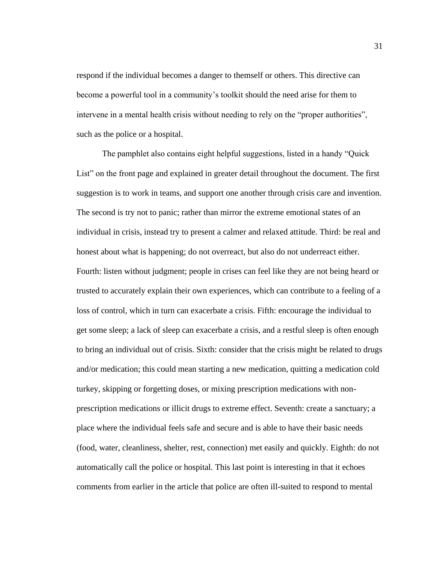respond if the individual becomes a danger to themself or others. This directive can become a powerful tool in a community's toolkit should the need arise for them to intervene in a mental health crisis without needing to rely on the "proper authorities", such as the police or a hospital.

The pamphlet also contains eight helpful suggestions, listed in a handy "Quick List" on the front page and explained in greater detail throughout the document. The first suggestion is to work in teams, and support one another through crisis care and invention. The second is try not to panic; rather than mirror the extreme emotional states of an individual in crisis, instead try to present a calmer and relaxed attitude. Third: be real and honest about what is happening; do not overreact, but also do not underreact either. Fourth: listen without judgment; people in crises can feel like they are not being heard or trusted to accurately explain their own experiences, which can contribute to a feeling of a loss of control, which in turn can exacerbate a crisis. Fifth: encourage the individual to get some sleep; a lack of sleep can exacerbate a crisis, and a restful sleep is often enough to bring an individual out of crisis. Sixth: consider that the crisis might be related to drugs and/or medication; this could mean starting a new medication, quitting a medication cold turkey, skipping or forgetting doses, or mixing prescription medications with nonprescription medications or illicit drugs to extreme effect. Seventh: create a sanctuary; a place where the individual feels safe and secure and is able to have their basic needs (food, water, cleanliness, shelter, rest, connection) met easily and quickly. Eighth: do not automatically call the police or hospital. This last point is interesting in that it echoes comments from earlier in the article that police are often ill-suited to respond to mental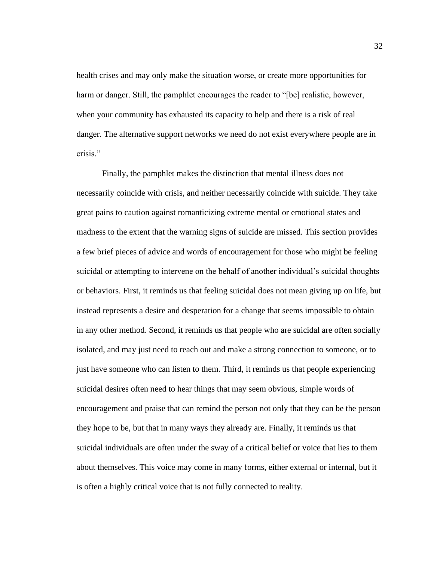health crises and may only make the situation worse, or create more opportunities for harm or danger. Still, the pamphlet encourages the reader to "[be] realistic, however, when your community has exhausted its capacity to help and there is a risk of real danger. The alternative support networks we need do not exist everywhere people are in crisis."

Finally, the pamphlet makes the distinction that mental illness does not necessarily coincide with crisis, and neither necessarily coincide with suicide. They take great pains to caution against romanticizing extreme mental or emotional states and madness to the extent that the warning signs of suicide are missed. This section provides a few brief pieces of advice and words of encouragement for those who might be feeling suicidal or attempting to intervene on the behalf of another individual's suicidal thoughts or behaviors. First, it reminds us that feeling suicidal does not mean giving up on life, but instead represents a desire and desperation for a change that seems impossible to obtain in any other method. Second, it reminds us that people who are suicidal are often socially isolated, and may just need to reach out and make a strong connection to someone, or to just have someone who can listen to them. Third, it reminds us that people experiencing suicidal desires often need to hear things that may seem obvious, simple words of encouragement and praise that can remind the person not only that they can be the person they hope to be, but that in many ways they already are. Finally, it reminds us that suicidal individuals are often under the sway of a critical belief or voice that lies to them about themselves. This voice may come in many forms, either external or internal, but it is often a highly critical voice that is not fully connected to reality.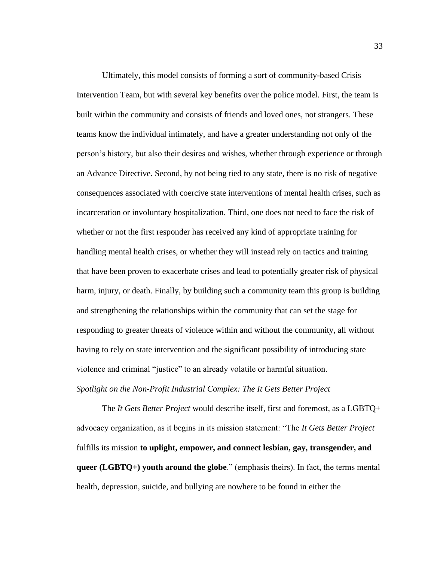Ultimately, this model consists of forming a sort of community-based Crisis Intervention Team, but with several key benefits over the police model. First, the team is built within the community and consists of friends and loved ones, not strangers. These teams know the individual intimately, and have a greater understanding not only of the person's history, but also their desires and wishes, whether through experience or through an Advance Directive. Second, by not being tied to any state, there is no risk of negative consequences associated with coercive state interventions of mental health crises, such as incarceration or involuntary hospitalization. Third, one does not need to face the risk of whether or not the first responder has received any kind of appropriate training for handling mental health crises, or whether they will instead rely on tactics and training that have been proven to exacerbate crises and lead to potentially greater risk of physical harm, injury, or death. Finally, by building such a community team this group is building and strengthening the relationships within the community that can set the stage for responding to greater threats of violence within and without the community, all without having to rely on state intervention and the significant possibility of introducing state violence and criminal "justice" to an already volatile or harmful situation. *Spotlight on the Non-Profit Industrial Complex: The It Gets Better Project*

The *It Gets Better Project* would describe itself, first and foremost, as a LGBTQ+ advocacy organization, as it begins in its mission statement: "The *It Gets Better Project*  fulfills its mission **to uplight, empower, and connect lesbian, gay, transgender, and queer (LGBTQ+) youth around the globe**." (emphasis theirs). In fact, the terms mental health, depression, suicide, and bullying are nowhere to be found in either the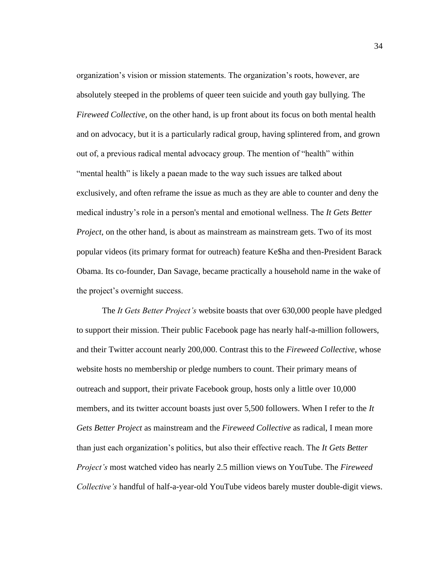organization's vision or mission statements. The organization's roots, however, are absolutely steeped in the problems of queer teen suicide and youth gay bullying. The *Fireweed Collective*, on the other hand, is up front about its focus on both mental health and on advocacy, but it is a particularly radical group, having splintered from, and grown out of, a previous radical mental advocacy group. The mention of "health" within "mental health" is likely a paean made to the way such issues are talked about exclusively, and often reframe the issue as much as they are able to counter and deny the medical industry's role in a person's mental and emotional wellness. The *It Gets Better Project*, on the other hand, is about as mainstream as mainstream gets. Two of its most popular videos (its primary format for outreach) feature Ke\$ha and then-President Barack Obama. Its co-founder, Dan Savage, became practically a household name in the wake of the project's overnight success.

The *It Gets Better Project's* website boasts that over 630,000 people have pledged to support their mission. Their public Facebook page has nearly half-a-million followers, and their Twitter account nearly 200,000. Contrast this to the *Fireweed Collective,* whose website hosts no membership or pledge numbers to count. Their primary means of outreach and support, their private Facebook group, hosts only a little over 10,000 members, and its twitter account boasts just over 5,500 followers. When I refer to the *It Gets Better Project* as mainstream and the *Fireweed Collective* as radical, I mean more than just each organization's politics, but also their effective reach. The *It Gets Better Project's* most watched video has nearly 2.5 million views on YouTube. The *Fireweed Collective's* handful of half-a-year-old YouTube videos barely muster double-digit views.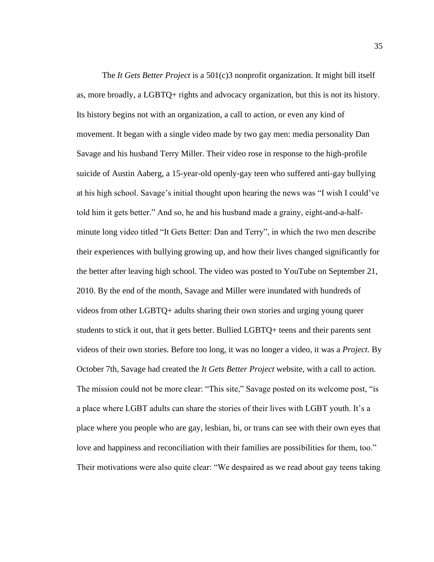The *It Gets Better Project* is a 501(c)3 nonprofit organization. It might bill itself as, more broadly, a LGBTQ+ rights and advocacy organization, but this is not its history. Its history begins not with an organization, a call to action, or even any kind of movement. It began with a single video made by two gay men: media personality Dan Savage and his husband Terry Miller. Their video rose in response to the high-profile suicide of Austin Aaberg, a 15-year-old openly-gay teen who suffered anti-gay bullying at his high school. Savage's initial thought upon hearing the news was "I wish I could've told him it gets better." And so, he and his husband made a grainy, eight-and-a-halfminute long video titled "It Gets Better: Dan and Terry", in which the two men describe their experiences with bullying growing up, and how their lives changed significantly for the better after leaving high school. The video was posted to YouTube on September 21, 2010. By the end of the month, Savage and Miller were inundated with hundreds of videos from other LGBTQ+ adults sharing their own stories and urging young queer students to stick it out, that it gets better. Bullied LGBTQ+ teens and their parents sent videos of their own stories. Before too long, it was no longer a video, it was a *Project*. By October 7th, Savage had created the *It Gets Better Project* website, with a call to action. The mission could not be more clear: "This site," Savage posted on its welcome post, "is a place where LGBT adults can share the stories of their lives with LGBT youth. It's a place where you people who are gay, lesbian, bi, or trans can see with their own eyes that love and happiness and reconciliation with their families are possibilities for them, too." Their motivations were also quite clear: "We despaired as we read about gay teens taking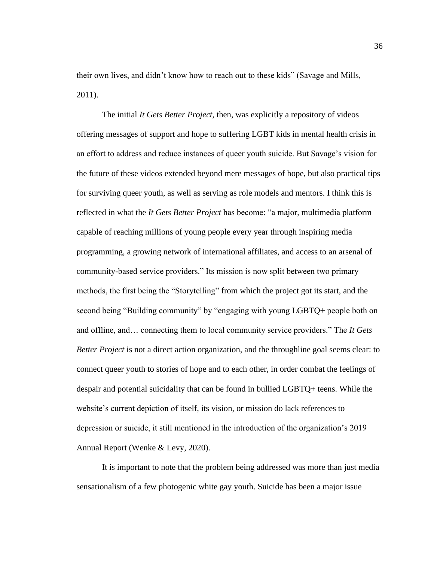their own lives, and didn't know how to reach out to these kids" (Savage and Mills, 2011).

The initial *It Gets Better Project*, then, was explicitly a repository of videos offering messages of support and hope to suffering LGBT kids in mental health crisis in an effort to address and reduce instances of queer youth suicide. But Savage's vision for the future of these videos extended beyond mere messages of hope, but also practical tips for surviving queer youth, as well as serving as role models and mentors. I think this is reflected in what the *It Gets Better Project* has become: "a major, multimedia platform capable of reaching millions of young people every year through inspiring media programming, a growing network of international affiliates, and access to an arsenal of community-based service providers." Its mission is now split between two primary methods, the first being the "Storytelling" from which the project got its start, and the second being "Building community" by "engaging with young LGBTQ+ people both on and offline, and… connecting them to local community service providers." The *It Gets Better Project* is not a direct action organization, and the throughline goal seems clear: to connect queer youth to stories of hope and to each other, in order combat the feelings of despair and potential suicidality that can be found in bullied LGBTQ+ teens. While the website's current depiction of itself, its vision, or mission do lack references to depression or suicide, it still mentioned in the introduction of the organization's 2019 Annual Report (Wenke & Levy, 2020).

It is important to note that the problem being addressed was more than just media sensationalism of a few photogenic white gay youth. Suicide has been a major issue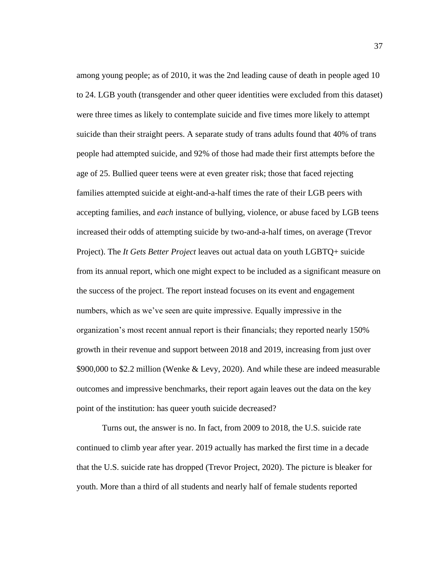among young people; as of 2010, it was the 2nd leading cause of death in people aged 10 to 24. LGB youth (transgender and other queer identities were excluded from this dataset) were three times as likely to contemplate suicide and five times more likely to attempt suicide than their straight peers. A separate study of trans adults found that 40% of trans people had attempted suicide, and 92% of those had made their first attempts before the age of 25. Bullied queer teens were at even greater risk; those that faced rejecting families attempted suicide at eight-and-a-half times the rate of their LGB peers with accepting families, and *each* instance of bullying, violence, or abuse faced by LGB teens increased their odds of attempting suicide by two-and-a-half times, on average (Trevor Project). The *It Gets Better Project* leaves out actual data on youth LGBTQ+ suicide from its annual report, which one might expect to be included as a significant measure on the success of the project. The report instead focuses on its event and engagement numbers, which as we've seen are quite impressive. Equally impressive in the organization's most recent annual report is their financials; they reported nearly 150% growth in their revenue and support between 2018 and 2019, increasing from just over \$900,000 to \$2.2 million (Wenke & Levy, 2020). And while these are indeed measurable outcomes and impressive benchmarks, their report again leaves out the data on the key point of the institution: has queer youth suicide decreased?

Turns out, the answer is no. In fact, from 2009 to 2018, the U.S. suicide rate continued to climb year after year. 2019 actually has marked the first time in a decade that the U.S. suicide rate has dropped (Trevor Project, 2020). The picture is bleaker for youth. More than a third of all students and nearly half of female students reported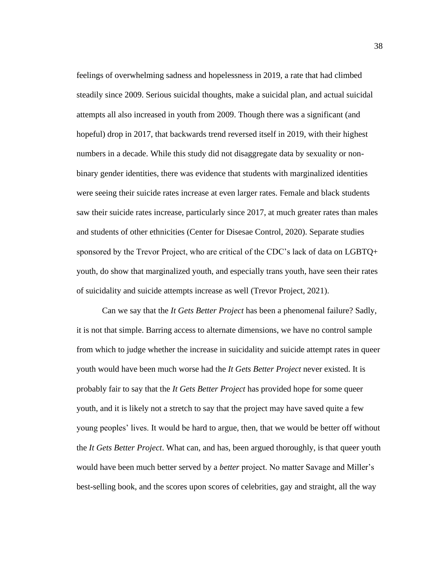feelings of overwhelming sadness and hopelessness in 2019, a rate that had climbed steadily since 2009. Serious suicidal thoughts, make a suicidal plan, and actual suicidal attempts all also increased in youth from 2009. Though there was a significant (and hopeful) drop in 2017, that backwards trend reversed itself in 2019, with their highest numbers in a decade. While this study did not disaggregate data by sexuality or nonbinary gender identities, there was evidence that students with marginalized identities were seeing their suicide rates increase at even larger rates. Female and black students saw their suicide rates increase, particularly since 2017, at much greater rates than males and students of other ethnicities (Center for Disesae Control, 2020). Separate studies sponsored by the Trevor Project, who are critical of the CDC's lack of data on LGBTQ+ youth, do show that marginalized youth, and especially trans youth, have seen their rates of suicidality and suicide attempts increase as well (Trevor Project, 2021).

Can we say that the *It Gets Better Project* has been a phenomenal failure? Sadly, it is not that simple. Barring access to alternate dimensions, we have no control sample from which to judge whether the increase in suicidality and suicide attempt rates in queer youth would have been much worse had the *It Gets Better Project* never existed. It is probably fair to say that the *It Gets Better Project* has provided hope for some queer youth, and it is likely not a stretch to say that the project may have saved quite a few young peoples' lives. It would be hard to argue, then, that we would be better off without the *It Gets Better Project*. What can, and has, been argued thoroughly, is that queer youth would have been much better served by a *better* project. No matter Savage and Miller's best-selling book, and the scores upon scores of celebrities, gay and straight, all the way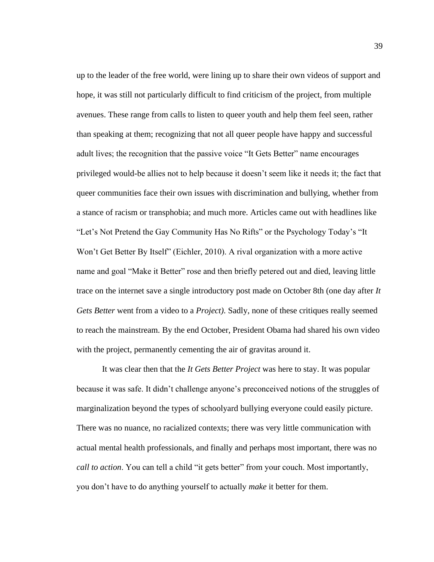up to the leader of the free world, were lining up to share their own videos of support and hope, it was still not particularly difficult to find criticism of the project, from multiple avenues. These range from calls to listen to queer youth and help them feel seen, rather than speaking at them; recognizing that not all queer people have happy and successful adult lives; the recognition that the passive voice "It Gets Better" name encourages privileged would-be allies not to help because it doesn't seem like it needs it; the fact that queer communities face their own issues with discrimination and bullying, whether from a stance of racism or transphobia; and much more. Articles came out with headlines like "Let's Not Pretend the Gay Community Has No Rifts" or the Psychology Today's "It Won't Get Better By Itself" (Eichler, 2010). A rival organization with a more active name and goal "Make it Better" rose and then briefly petered out and died, leaving little trace on the internet save a single introductory post made on October 8th (one day after *It Gets Better* went from a video to a *Project).* Sadly, none of these critiques really seemed to reach the mainstream. By the end October, President Obama had shared his own video with the project, permanently cementing the air of gravitas around it.

It was clear then that the *It Gets Better Project* was here to stay. It was popular because it was safe. It didn't challenge anyone's preconceived notions of the struggles of marginalization beyond the types of schoolyard bullying everyone could easily picture. There was no nuance, no racialized contexts; there was very little communication with actual mental health professionals, and finally and perhaps most important, there was no *call to action*. You can tell a child "it gets better" from your couch. Most importantly, you don't have to do anything yourself to actually *make* it better for them.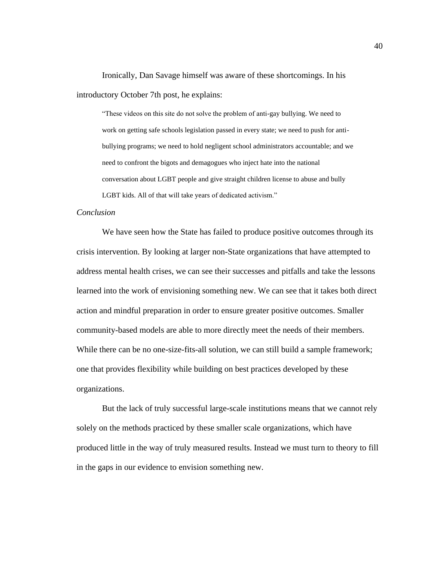Ironically, Dan Savage himself was aware of these shortcomings. In his introductory October 7th post, he explains:

"These videos on this site do not solve the problem of anti-gay bullying. We need to work on getting safe schools legislation passed in every state; we need to push for antibullying programs; we need to hold negligent school administrators accountable; and we need to confront the bigots and demagogues who inject hate into the national conversation about LGBT people and give straight children license to abuse and bully LGBT kids. All of that will take years of dedicated activism."

## *Conclusion*

We have seen how the State has failed to produce positive outcomes through its crisis intervention. By looking at larger non-State organizations that have attempted to address mental health crises, we can see their successes and pitfalls and take the lessons learned into the work of envisioning something new. We can see that it takes both direct action and mindful preparation in order to ensure greater positive outcomes. Smaller community-based models are able to more directly meet the needs of their members. While there can be no one-size-fits-all solution, we can still build a sample framework; one that provides flexibility while building on best practices developed by these organizations.

But the lack of truly successful large-scale institutions means that we cannot rely solely on the methods practiced by these smaller scale organizations, which have produced little in the way of truly measured results. Instead we must turn to theory to fill in the gaps in our evidence to envision something new.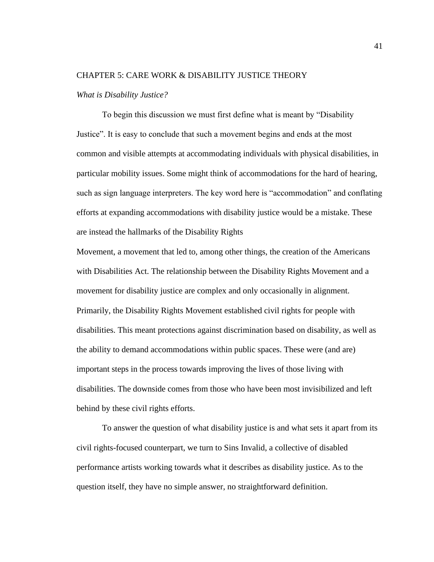# CHAPTER 5: CARE WORK & DISABILITY JUSTICE THEORY

## *What is Disability Justice?*

To begin this discussion we must first define what is meant by "Disability Justice". It is easy to conclude that such a movement begins and ends at the most common and visible attempts at accommodating individuals with physical disabilities, in particular mobility issues. Some might think of accommodations for the hard of hearing, such as sign language interpreters. The key word here is "accommodation" and conflating efforts at expanding accommodations with disability justice would be a mistake. These are instead the hallmarks of the Disability Rights

Movement, a movement that led to, among other things, the creation of the Americans with Disabilities Act. The relationship between the Disability Rights Movement and a movement for disability justice are complex and only occasionally in alignment. Primarily, the Disability Rights Movement established civil rights for people with disabilities. This meant protections against discrimination based on disability, as well as the ability to demand accommodations within public spaces. These were (and are) important steps in the process towards improving the lives of those living with disabilities. The downside comes from those who have been most invisibilized and left behind by these civil rights efforts.

To answer the question of what disability justice is and what sets it apart from its civil rights-focused counterpart, we turn to Sins Invalid, a collective of disabled performance artists working towards what it describes as disability justice. As to the question itself, they have no simple answer, no straightforward definition.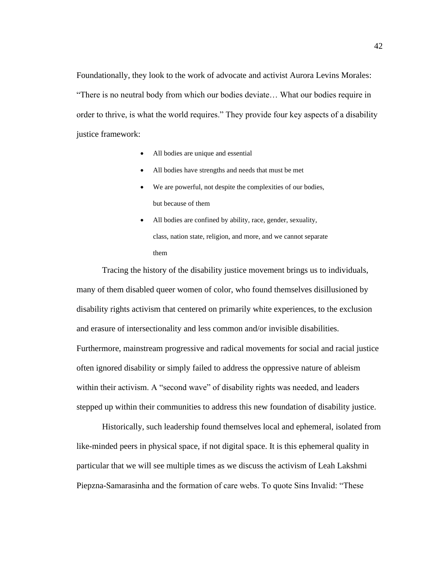Foundationally, they look to the work of advocate and activist Aurora Levins Morales: "There is no neutral body from which our bodies deviate… What our bodies require in order to thrive, is what the world requires." They provide four key aspects of a disability justice framework:

- All bodies are unique and essential
- All bodies have strengths and needs that must be met
- We are powerful, not despite the complexities of our bodies, but because of them
- All bodies are confined by ability, race, gender, sexuality, class, nation state, religion, and more, and we cannot separate them

Tracing the history of the disability justice movement brings us to individuals, many of them disabled queer women of color, who found themselves disillusioned by disability rights activism that centered on primarily white experiences, to the exclusion and erasure of intersectionality and less common and/or invisible disabilities. Furthermore, mainstream progressive and radical movements for social and racial justice often ignored disability or simply failed to address the oppressive nature of ableism within their activism. A "second wave" of disability rights was needed, and leaders stepped up within their communities to address this new foundation of disability justice.

Historically, such leadership found themselves local and ephemeral, isolated from like-minded peers in physical space, if not digital space. It is this ephemeral quality in particular that we will see multiple times as we discuss the activism of Leah Lakshmi Piepzna-Samarasinha and the formation of care webs. To quote Sins Invalid: "These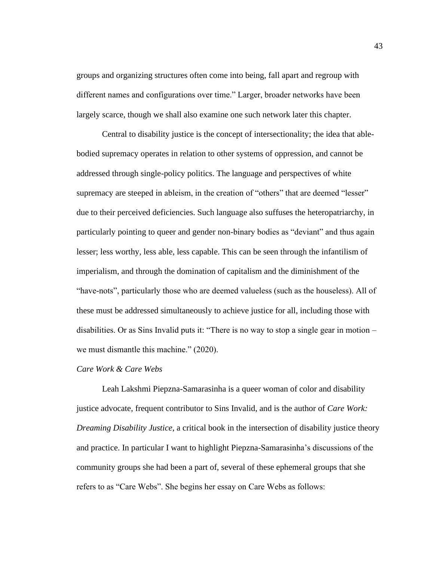groups and organizing structures often come into being, fall apart and regroup with different names and configurations over time." Larger, broader networks have been largely scarce, though we shall also examine one such network later this chapter.

Central to disability justice is the concept of intersectionality; the idea that ablebodied supremacy operates in relation to other systems of oppression, and cannot be addressed through single-policy politics. The language and perspectives of white supremacy are steeped in ableism, in the creation of "others" that are deemed "lesser" due to their perceived deficiencies. Such language also suffuses the heteropatriarchy, in particularly pointing to queer and gender non-binary bodies as "deviant" and thus again lesser; less worthy, less able, less capable. This can be seen through the infantilism of imperialism, and through the domination of capitalism and the diminishment of the "have-nots", particularly those who are deemed valueless (such as the houseless). All of these must be addressed simultaneously to achieve justice for all, including those with disabilities. Or as Sins Invalid puts it: "There is no way to stop a single gear in motion – we must dismantle this machine." (2020).

#### *Care Work & Care Webs*

Leah Lakshmi Piepzna-Samarasinha is a queer woman of color and disability justice advocate, frequent contributor to Sins Invalid, and is the author of *Care Work: Dreaming Disability Justice*, a critical book in the intersection of disability justice theory and practice. In particular I want to highlight Piepzna-Samarasinha's discussions of the community groups she had been a part of, several of these ephemeral groups that she refers to as "Care Webs". She begins her essay on Care Webs as follows: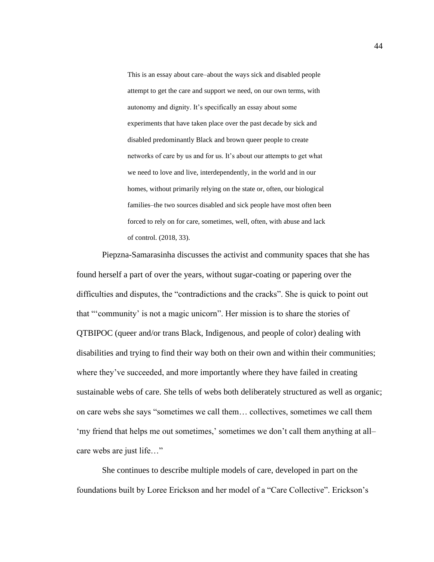This is an essay about care–about the ways sick and disabled people attempt to get the care and support we need, on our own terms, with autonomy and dignity. It's specifically an essay about some experiments that have taken place over the past decade by sick and disabled predominantly Black and brown queer people to create networks of care by us and for us. It's about our attempts to get what we need to love and live, interdependently, in the world and in our homes, without primarily relying on the state or, often, our biological families–the two sources disabled and sick people have most often been forced to rely on for care, sometimes, well, often, with abuse and lack of control. (2018, 33).

Piepzna-Samarasinha discusses the activist and community spaces that she has found herself a part of over the years, without sugar-coating or papering over the difficulties and disputes, the "contradictions and the cracks". She is quick to point out that "'community' is not a magic unicorn". Her mission is to share the stories of QTBIPOC (queer and/or trans Black, Indigenous, and people of color) dealing with disabilities and trying to find their way both on their own and within their communities; where they've succeeded, and more importantly where they have failed in creating sustainable webs of care. She tells of webs both deliberately structured as well as organic; on care webs she says "sometimes we call them… collectives, sometimes we call them 'my friend that helps me out sometimes,' sometimes we don't call them anything at all– care webs are just life…"

She continues to describe multiple models of care, developed in part on the foundations built by Loree Erickson and her model of a "Care Collective". Erickson's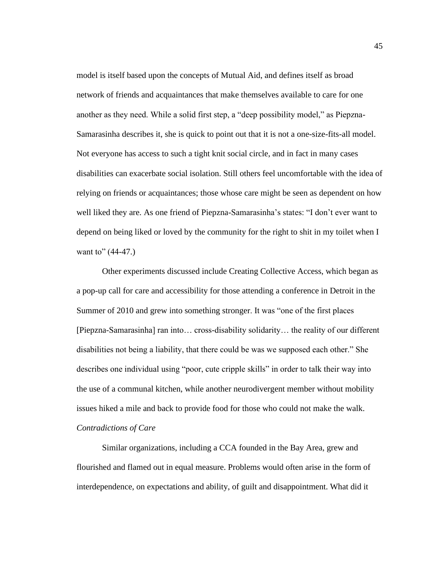model is itself based upon the concepts of Mutual Aid, and defines itself as broad network of friends and acquaintances that make themselves available to care for one another as they need. While a solid first step, a "deep possibility model," as Piepzna-Samarasinha describes it, she is quick to point out that it is not a one-size-fits-all model. Not everyone has access to such a tight knit social circle, and in fact in many cases disabilities can exacerbate social isolation. Still others feel uncomfortable with the idea of relying on friends or acquaintances; those whose care might be seen as dependent on how well liked they are. As one friend of Piepzna-Samarasinha's states: "I don't ever want to depend on being liked or loved by the community for the right to shit in my toilet when I want to"  $(44-47)$ .

Other experiments discussed include Creating Collective Access, which began as a pop-up call for care and accessibility for those attending a conference in Detroit in the Summer of 2010 and grew into something stronger. It was "one of the first places [Piepzna-Samarasinha] ran into… cross-disability solidarity… the reality of our different disabilities not being a liability, that there could be was we supposed each other." She describes one individual using "poor, cute cripple skills" in order to talk their way into the use of a communal kitchen, while another neurodivergent member without mobility issues hiked a mile and back to provide food for those who could not make the walk. *Contradictions of Care*

Similar organizations, including a CCA founded in the Bay Area, grew and flourished and flamed out in equal measure. Problems would often arise in the form of interdependence, on expectations and ability, of guilt and disappointment. What did it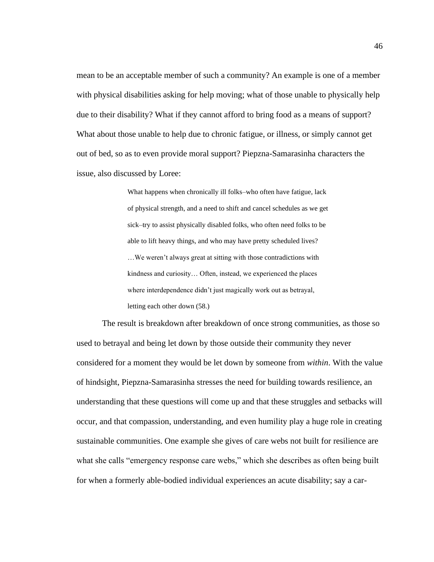mean to be an acceptable member of such a community? An example is one of a member with physical disabilities asking for help moving; what of those unable to physically help due to their disability? What if they cannot afford to bring food as a means of support? What about those unable to help due to chronic fatigue, or illness, or simply cannot get out of bed, so as to even provide moral support? Piepzna-Samarasinha characters the issue, also discussed by Loree:

> What happens when chronically ill folks–who often have fatigue, lack of physical strength, and a need to shift and cancel schedules as we get sick–try to assist physically disabled folks, who often need folks to be able to lift heavy things, and who may have pretty scheduled lives? …We weren't always great at sitting with those contradictions with kindness and curiosity… Often, instead, we experienced the places where interdependence didn't just magically work out as betrayal, letting each other down (58.)

The result is breakdown after breakdown of once strong communities, as those so used to betrayal and being let down by those outside their community they never considered for a moment they would be let down by someone from *within*. With the value of hindsight, Piepzna-Samarasinha stresses the need for building towards resilience, an understanding that these questions will come up and that these struggles and setbacks will occur, and that compassion, understanding, and even humility play a huge role in creating sustainable communities. One example she gives of care webs not built for resilience are what she calls "emergency response care webs," which she describes as often being built for when a formerly able-bodied individual experiences an acute disability; say a car-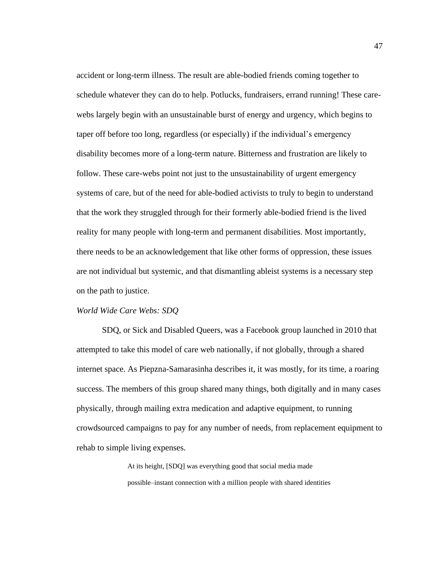accident or long-term illness. The result are able-bodied friends coming together to schedule whatever they can do to help. Potlucks, fundraisers, errand running! These carewebs largely begin with an unsustainable burst of energy and urgency, which begins to taper off before too long, regardless (or especially) if the individual's emergency disability becomes more of a long-term nature. Bitterness and frustration are likely to follow. These care-webs point not just to the unsustainability of urgent emergency systems of care, but of the need for able-bodied activists to truly to begin to understand that the work they struggled through for their formerly able-bodied friend is the lived reality for many people with long-term and permanent disabilities. Most importantly, there needs to be an acknowledgement that like other forms of oppression, these issues are not individual but systemic, and that dismantling ableist systems is a necessary step on the path to justice.

## *World Wide Care Webs: SDQ*

SDQ, or Sick and Disabled Queers, was a Facebook group launched in 2010 that attempted to take this model of care web nationally, if not globally, through a shared internet space. As Piepzna-Samarasinha describes it, it was mostly, for its time, a roaring success. The members of this group shared many things, both digitally and in many cases physically, through mailing extra medication and adaptive equipment, to running crowdsourced campaigns to pay for any number of needs, from replacement equipment to rehab to simple living expenses.

> At its height, [SDQ] was everything good that social media made possible–instant connection with a million people with shared identities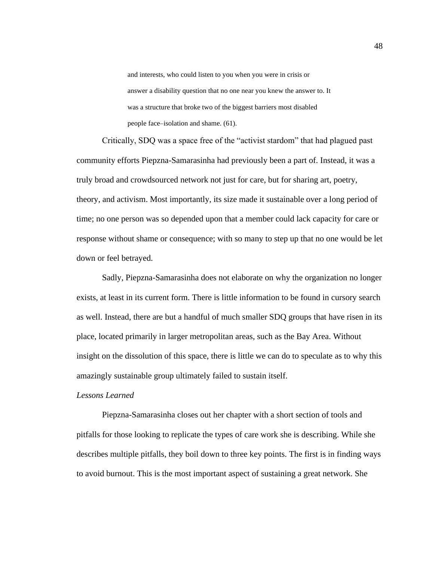and interests, who could listen to you when you were in crisis or answer a disability question that no one near you knew the answer to. It was a structure that broke two of the biggest barriers most disabled people face–isolation and shame. (61).

Critically, SDQ was a space free of the "activist stardom" that had plagued past community efforts Piepzna-Samarasinha had previously been a part of. Instead, it was a truly broad and crowdsourced network not just for care, but for sharing art, poetry, theory, and activism. Most importantly, its size made it sustainable over a long period of time; no one person was so depended upon that a member could lack capacity for care or response without shame or consequence; with so many to step up that no one would be let down or feel betrayed.

Sadly, Piepzna-Samarasinha does not elaborate on why the organization no longer exists, at least in its current form. There is little information to be found in cursory search as well. Instead, there are but a handful of much smaller SDQ groups that have risen in its place, located primarily in larger metropolitan areas, such as the Bay Area. Without insight on the dissolution of this space, there is little we can do to speculate as to why this amazingly sustainable group ultimately failed to sustain itself.

## *Lessons Learned*

Piepzna-Samarasinha closes out her chapter with a short section of tools and pitfalls for those looking to replicate the types of care work she is describing. While she describes multiple pitfalls, they boil down to three key points. The first is in finding ways to avoid burnout. This is the most important aspect of sustaining a great network. She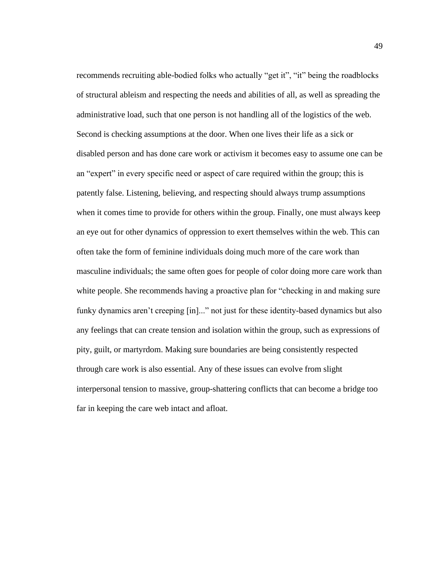recommends recruiting able-bodied folks who actually "get it", "it" being the roadblocks of structural ableism and respecting the needs and abilities of all, as well as spreading the administrative load, such that one person is not handling all of the logistics of the web. Second is checking assumptions at the door. When one lives their life as a sick or disabled person and has done care work or activism it becomes easy to assume one can be an "expert" in every specific need or aspect of care required within the group; this is patently false. Listening, believing, and respecting should always trump assumptions when it comes time to provide for others within the group. Finally, one must always keep an eye out for other dynamics of oppression to exert themselves within the web. This can often take the form of feminine individuals doing much more of the care work than masculine individuals; the same often goes for people of color doing more care work than white people. She recommends having a proactive plan for "checking in and making sure funky dynamics aren't creeping [in]..." not just for these identity-based dynamics but also any feelings that can create tension and isolation within the group, such as expressions of pity, guilt, or martyrdom. Making sure boundaries are being consistently respected through care work is also essential. Any of these issues can evolve from slight interpersonal tension to massive, group-shattering conflicts that can become a bridge too far in keeping the care web intact and afloat.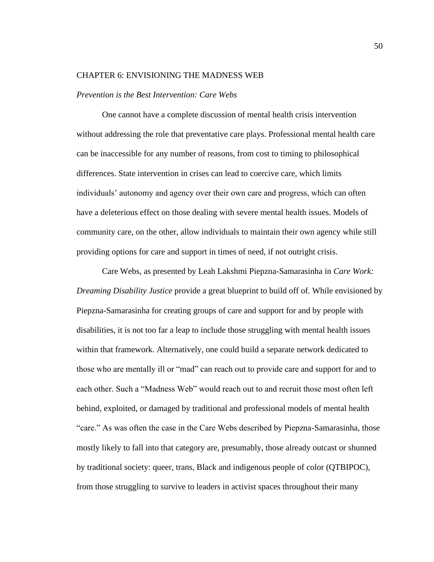## CHAPTER 6: ENVISIONING THE MADNESS WEB

### *Prevention is the Best Intervention: Care Webs*

One cannot have a complete discussion of mental health crisis intervention without addressing the role that preventative care plays. Professional mental health care can be inaccessible for any number of reasons, from cost to timing to philosophical differences. State intervention in crises can lead to coercive care, which limits individuals' autonomy and agency over their own care and progress, which can often have a deleterious effect on those dealing with severe mental health issues. Models of community care, on the other, allow individuals to maintain their own agency while still providing options for care and support in times of need, if not outright crisis.

Care Webs, as presented by Leah Lakshmi Piepzna-Samarasinha in *Care Work: Dreaming Disability Justice* provide a great blueprint to build off of. While envisioned by Piepzna-Samarasinha for creating groups of care and support for and by people with disabilities, it is not too far a leap to include those struggling with mental health issues within that framework. Alternatively, one could build a separate network dedicated to those who are mentally ill or "mad" can reach out to provide care and support for and to each other. Such a "Madness Web" would reach out to and recruit those most often left behind, exploited, or damaged by traditional and professional models of mental health "care." As was often the case in the Care Webs described by Piepzna-Samarasinha, those mostly likely to fall into that category are, presumably, those already outcast or shunned by traditional society: queer, trans, Black and indigenous people of color (QTBIPOC), from those struggling to survive to leaders in activist spaces throughout their many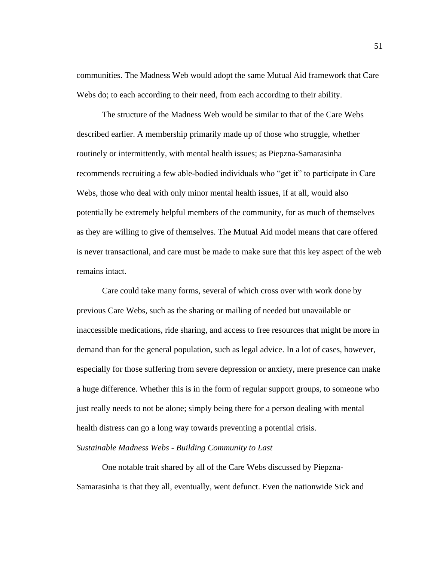communities. The Madness Web would adopt the same Mutual Aid framework that Care Webs do; to each according to their need, from each according to their ability.

The structure of the Madness Web would be similar to that of the Care Webs described earlier. A membership primarily made up of those who struggle, whether routinely or intermittently, with mental health issues; as Piepzna-Samarasinha recommends recruiting a few able-bodied individuals who "get it" to participate in Care Webs, those who deal with only minor mental health issues, if at all, would also potentially be extremely helpful members of the community, for as much of themselves as they are willing to give of themselves. The Mutual Aid model means that care offered is never transactional, and care must be made to make sure that this key aspect of the web remains intact.

Care could take many forms, several of which cross over with work done by previous Care Webs, such as the sharing or mailing of needed but unavailable or inaccessible medications, ride sharing, and access to free resources that might be more in demand than for the general population, such as legal advice. In a lot of cases, however, especially for those suffering from severe depression or anxiety, mere presence can make a huge difference. Whether this is in the form of regular support groups, to someone who just really needs to not be alone; simply being there for a person dealing with mental health distress can go a long way towards preventing a potential crisis.

### *Sustainable Madness Webs - Building Community to Last*

One notable trait shared by all of the Care Webs discussed by Piepzna-Samarasinha is that they all, eventually, went defunct. Even the nationwide Sick and 51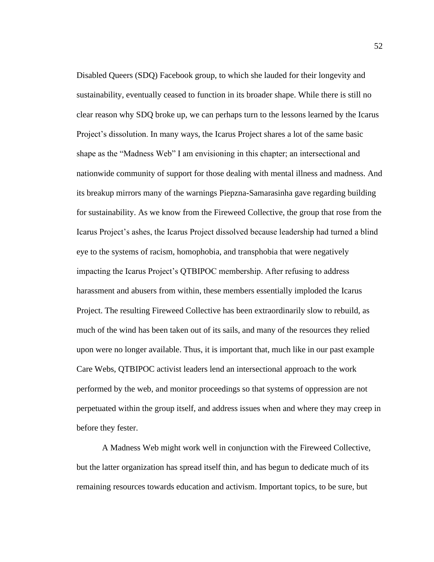Disabled Queers (SDQ) Facebook group, to which she lauded for their longevity and sustainability, eventually ceased to function in its broader shape. While there is still no clear reason why SDQ broke up, we can perhaps turn to the lessons learned by the Icarus Project's dissolution. In many ways, the Icarus Project shares a lot of the same basic shape as the "Madness Web" I am envisioning in this chapter; an intersectional and nationwide community of support for those dealing with mental illness and madness. And its breakup mirrors many of the warnings Piepzna-Samarasinha gave regarding building for sustainability. As we know from the Fireweed Collective, the group that rose from the Icarus Project's ashes, the Icarus Project dissolved because leadership had turned a blind eye to the systems of racism, homophobia, and transphobia that were negatively impacting the Icarus Project's QTBIPOC membership. After refusing to address harassment and abusers from within, these members essentially imploded the Icarus Project. The resulting Fireweed Collective has been extraordinarily slow to rebuild, as much of the wind has been taken out of its sails, and many of the resources they relied upon were no longer available. Thus, it is important that, much like in our past example Care Webs, QTBIPOC activist leaders lend an intersectional approach to the work performed by the web, and monitor proceedings so that systems of oppression are not perpetuated within the group itself, and address issues when and where they may creep in before they fester.

A Madness Web might work well in conjunction with the Fireweed Collective, but the latter organization has spread itself thin, and has begun to dedicate much of its remaining resources towards education and activism. Important topics, to be sure, but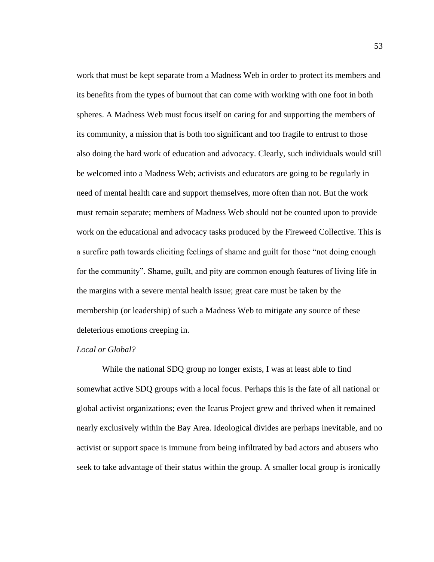work that must be kept separate from a Madness Web in order to protect its members and its benefits from the types of burnout that can come with working with one foot in both spheres. A Madness Web must focus itself on caring for and supporting the members of its community, a mission that is both too significant and too fragile to entrust to those also doing the hard work of education and advocacy. Clearly, such individuals would still be welcomed into a Madness Web; activists and educators are going to be regularly in need of mental health care and support themselves, more often than not. But the work must remain separate; members of Madness Web should not be counted upon to provide work on the educational and advocacy tasks produced by the Fireweed Collective. This is a surefire path towards eliciting feelings of shame and guilt for those "not doing enough for the community". Shame, guilt, and pity are common enough features of living life in the margins with a severe mental health issue; great care must be taken by the membership (or leadership) of such a Madness Web to mitigate any source of these deleterious emotions creeping in.

## *Local or Global?*

While the national SDQ group no longer exists, I was at least able to find somewhat active SDQ groups with a local focus. Perhaps this is the fate of all national or global activist organizations; even the Icarus Project grew and thrived when it remained nearly exclusively within the Bay Area. Ideological divides are perhaps inevitable, and no activist or support space is immune from being infiltrated by bad actors and abusers who seek to take advantage of their status within the group. A smaller local group is ironically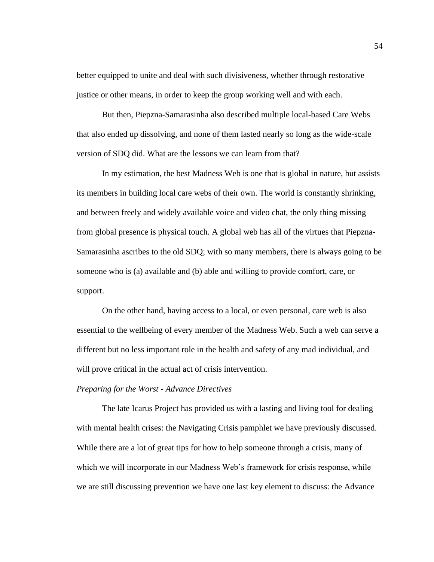better equipped to unite and deal with such divisiveness, whether through restorative justice or other means, in order to keep the group working well and with each.

But then, Piepzna-Samarasinha also described multiple local-based Care Webs that also ended up dissolving, and none of them lasted nearly so long as the wide-scale version of SDQ did. What are the lessons we can learn from that?

In my estimation, the best Madness Web is one that is global in nature, but assists its members in building local care webs of their own. The world is constantly shrinking, and between freely and widely available voice and video chat, the only thing missing from global presence is physical touch. A global web has all of the virtues that Piepzna-Samarasinha ascribes to the old SDQ; with so many members, there is always going to be someone who is (a) available and (b) able and willing to provide comfort, care, or support.

On the other hand, having access to a local, or even personal, care web is also essential to the wellbeing of every member of the Madness Web. Such a web can serve a different but no less important role in the health and safety of any mad individual, and will prove critical in the actual act of crisis intervention.

## *Preparing for the Worst - Advance Directives*

The late Icarus Project has provided us with a lasting and living tool for dealing with mental health crises: the Navigating Crisis pamphlet we have previously discussed. While there are a lot of great tips for how to help someone through a crisis, many of which we will incorporate in our Madness Web's framework for crisis response, while we are still discussing prevention we have one last key element to discuss: the Advance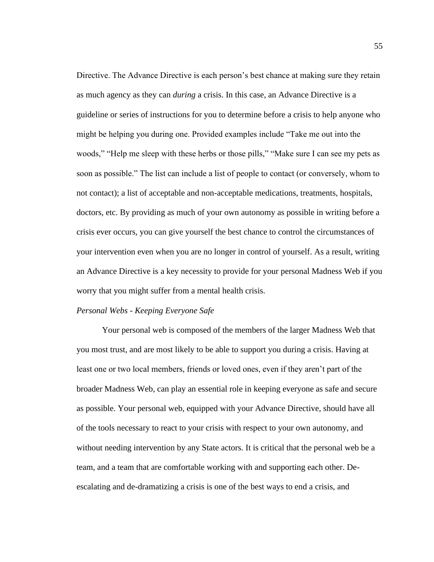Directive. The Advance Directive is each person's best chance at making sure they retain as much agency as they can *during* a crisis. In this case, an Advance Directive is a guideline or series of instructions for you to determine before a crisis to help anyone who might be helping you during one. Provided examples include "Take me out into the woods," "Help me sleep with these herbs or those pills," "Make sure I can see my pets as soon as possible." The list can include a list of people to contact (or conversely, whom to not contact); a list of acceptable and non-acceptable medications, treatments, hospitals, doctors, etc. By providing as much of your own autonomy as possible in writing before a crisis ever occurs, you can give yourself the best chance to control the circumstances of your intervention even when you are no longer in control of yourself. As a result, writing an Advance Directive is a key necessity to provide for your personal Madness Web if you worry that you might suffer from a mental health crisis.

# *Personal Webs - Keeping Everyone Safe*

Your personal web is composed of the members of the larger Madness Web that you most trust, and are most likely to be able to support you during a crisis. Having at least one or two local members, friends or loved ones, even if they aren't part of the broader Madness Web, can play an essential role in keeping everyone as safe and secure as possible. Your personal web, equipped with your Advance Directive, should have all of the tools necessary to react to your crisis with respect to your own autonomy, and without needing intervention by any State actors. It is critical that the personal web be a team, and a team that are comfortable working with and supporting each other. Deescalating and de-dramatizing a crisis is one of the best ways to end a crisis, and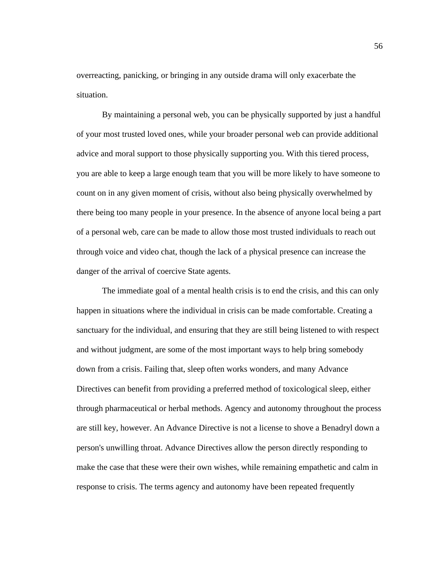overreacting, panicking, or bringing in any outside drama will only exacerbate the situation.

By maintaining a personal web, you can be physically supported by just a handful of your most trusted loved ones, while your broader personal web can provide additional advice and moral support to those physically supporting you. With this tiered process, you are able to keep a large enough team that you will be more likely to have someone to count on in any given moment of crisis, without also being physically overwhelmed by there being too many people in your presence. In the absence of anyone local being a part of a personal web, care can be made to allow those most trusted individuals to reach out through voice and video chat, though the lack of a physical presence can increase the danger of the arrival of coercive State agents.

The immediate goal of a mental health crisis is to end the crisis, and this can only happen in situations where the individual in crisis can be made comfortable. Creating a sanctuary for the individual, and ensuring that they are still being listened to with respect and without judgment, are some of the most important ways to help bring somebody down from a crisis. Failing that, sleep often works wonders, and many Advance Directives can benefit from providing a preferred method of toxicological sleep, either through pharmaceutical or herbal methods. Agency and autonomy throughout the process are still key, however. An Advance Directive is not a license to shove a Benadryl down a person's unwilling throat. Advance Directives allow the person directly responding to make the case that these were their own wishes, while remaining empathetic and calm in response to crisis. The terms agency and autonomy have been repeated frequently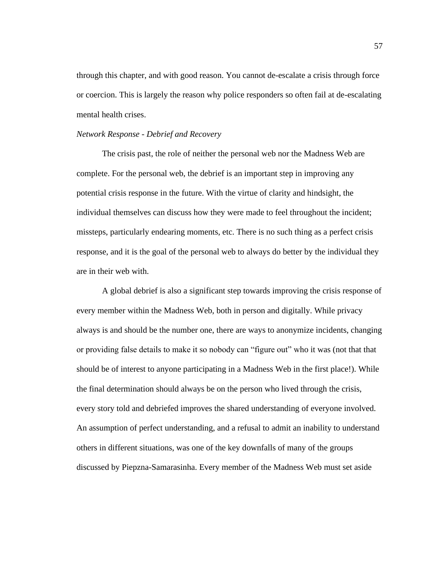through this chapter, and with good reason. You cannot de-escalate a crisis through force or coercion. This is largely the reason why police responders so often fail at de-escalating mental health crises.

#### *Network Response - Debrief and Recovery*

The crisis past, the role of neither the personal web nor the Madness Web are complete. For the personal web, the debrief is an important step in improving any potential crisis response in the future. With the virtue of clarity and hindsight, the individual themselves can discuss how they were made to feel throughout the incident; missteps, particularly endearing moments, etc. There is no such thing as a perfect crisis response, and it is the goal of the personal web to always do better by the individual they are in their web with.

A global debrief is also a significant step towards improving the crisis response of every member within the Madness Web, both in person and digitally. While privacy always is and should be the number one, there are ways to anonymize incidents, changing or providing false details to make it so nobody can "figure out" who it was (not that that should be of interest to anyone participating in a Madness Web in the first place!). While the final determination should always be on the person who lived through the crisis, every story told and debriefed improves the shared understanding of everyone involved. An assumption of perfect understanding, and a refusal to admit an inability to understand others in different situations, was one of the key downfalls of many of the groups discussed by Piepzna-Samarasinha. Every member of the Madness Web must set aside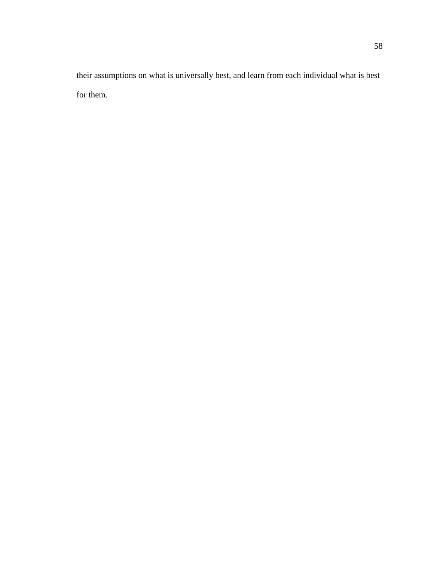their assumptions on what is universally best, and learn from each individual what is best for them.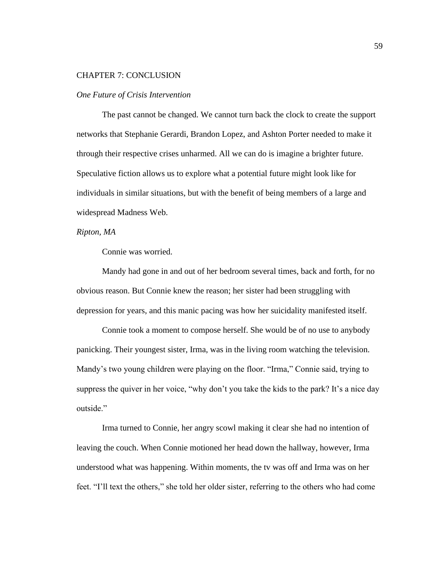# CHAPTER 7: CONCLUSION

## *One Future of Crisis Intervention*

The past cannot be changed. We cannot turn back the clock to create the support networks that Stephanie Gerardi, Brandon Lopez, and Ashton Porter needed to make it through their respective crises unharmed. All we can do is imagine a brighter future. Speculative fiction allows us to explore what a potential future might look like for individuals in similar situations, but with the benefit of being members of a large and widespread Madness Web.

#### *Ripton, MA*

Connie was worried.

Mandy had gone in and out of her bedroom several times, back and forth, for no obvious reason. But Connie knew the reason; her sister had been struggling with depression for years, and this manic pacing was how her suicidality manifested itself.

Connie took a moment to compose herself. She would be of no use to anybody panicking. Their youngest sister, Irma, was in the living room watching the television. Mandy's two young children were playing on the floor. "Irma," Connie said, trying to suppress the quiver in her voice, "why don't you take the kids to the park? It's a nice day outside."

Irma turned to Connie, her angry scowl making it clear she had no intention of leaving the couch. When Connie motioned her head down the hallway, however, Irma understood what was happening. Within moments, the tv was off and Irma was on her feet. "I'll text the others," she told her older sister, referring to the others who had come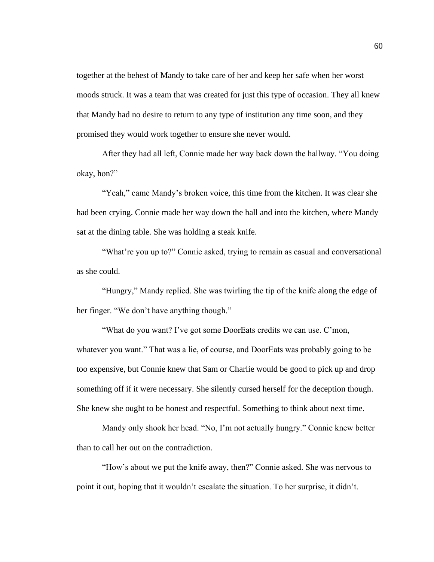together at the behest of Mandy to take care of her and keep her safe when her worst moods struck. It was a team that was created for just this type of occasion. They all knew that Mandy had no desire to return to any type of institution any time soon, and they promised they would work together to ensure she never would.

After they had all left, Connie made her way back down the hallway. "You doing okay, hon?"

"Yeah," came Mandy's broken voice, this time from the kitchen. It was clear she had been crying. Connie made her way down the hall and into the kitchen, where Mandy sat at the dining table. She was holding a steak knife.

"What're you up to?" Connie asked, trying to remain as casual and conversational as she could.

"Hungry," Mandy replied. She was twirling the tip of the knife along the edge of her finger. "We don't have anything though."

"What do you want? I've got some DoorEats credits we can use. C'mon, whatever you want." That was a lie, of course, and DoorEats was probably going to be too expensive, but Connie knew that Sam or Charlie would be good to pick up and drop something off if it were necessary. She silently cursed herself for the deception though. She knew she ought to be honest and respectful. Something to think about next time.

Mandy only shook her head. "No, I'm not actually hungry." Connie knew better than to call her out on the contradiction.

"How's about we put the knife away, then?" Connie asked. She was nervous to point it out, hoping that it wouldn't escalate the situation. To her surprise, it didn't.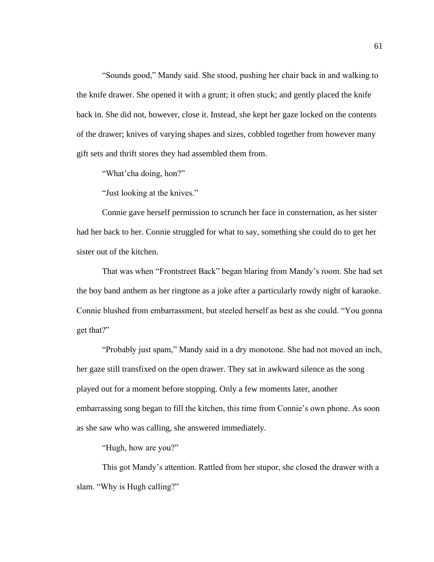"Sounds good," Mandy said. She stood, pushing her chair back in and walking to the knife drawer. She opened it with a grunt; it often stuck; and gently placed the knife back in. She did not, however, close it. Instead, she kept her gaze locked on the contents of the drawer; knives of varying shapes and sizes, cobbled together from however many gift sets and thrift stores they had assembled them from.

"What'cha doing, hon?"

"Just looking at the knives."

Connie gave herself permission to scrunch her face in consternation, as her sister had her back to her. Connie struggled for what to say, something she could do to get her sister out of the kitchen.

That was when "Frontstreet Back" began blaring from Mandy's room. She had set the boy band anthem as her ringtone as a joke after a particularly rowdy night of karaoke. Connie blushed from embarrassment, but steeled herself as best as she could. "You gonna get that?"

"Probably just spam," Mandy said in a dry monotone. She had not moved an inch, her gaze still transfixed on the open drawer. They sat in awkward silence as the song played out for a moment before stopping. Only a few moments later, another embarrassing song began to fill the kitchen, this time from Connie's own phone. As soon as she saw who was calling, she answered immediately.

"Hugh, how are you?"

This got Mandy's attention. Rattled from her stupor, she closed the drawer with a slam. "Why is Hugh calling?"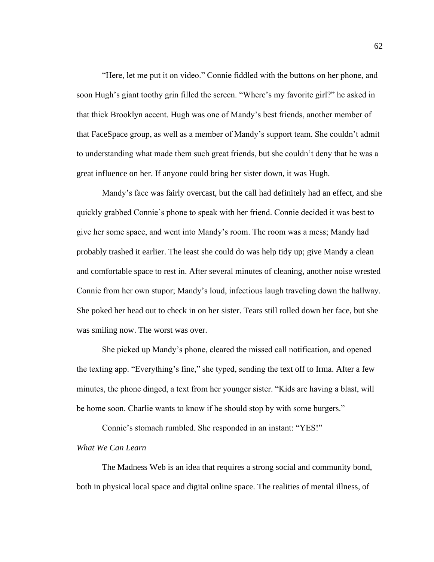"Here, let me put it on video." Connie fiddled with the buttons on her phone, and soon Hugh's giant toothy grin filled the screen. "Where's my favorite girl?" he asked in that thick Brooklyn accent. Hugh was one of Mandy's best friends, another member of that FaceSpace group, as well as a member of Mandy's support team. She couldn't admit to understanding what made them such great friends, but she couldn't deny that he was a great influence on her. If anyone could bring her sister down, it was Hugh.

Mandy's face was fairly overcast, but the call had definitely had an effect, and she quickly grabbed Connie's phone to speak with her friend. Connie decided it was best to give her some space, and went into Mandy's room. The room was a mess; Mandy had probably trashed it earlier. The least she could do was help tidy up; give Mandy a clean and comfortable space to rest in. After several minutes of cleaning, another noise wrested Connie from her own stupor; Mandy's loud, infectious laugh traveling down the hallway. She poked her head out to check in on her sister. Tears still rolled down her face, but she was smiling now. The worst was over.

She picked up Mandy's phone, cleared the missed call notification, and opened the texting app. "Everything's fine," she typed, sending the text off to Irma. After a few minutes, the phone dinged, a text from her younger sister. "Kids are having a blast, will be home soon. Charlie wants to know if he should stop by with some burgers."

Connie's stomach rumbled. She responded in an instant: "YES!"

#### *What We Can Learn*

The Madness Web is an idea that requires a strong social and community bond, both in physical local space and digital online space. The realities of mental illness, of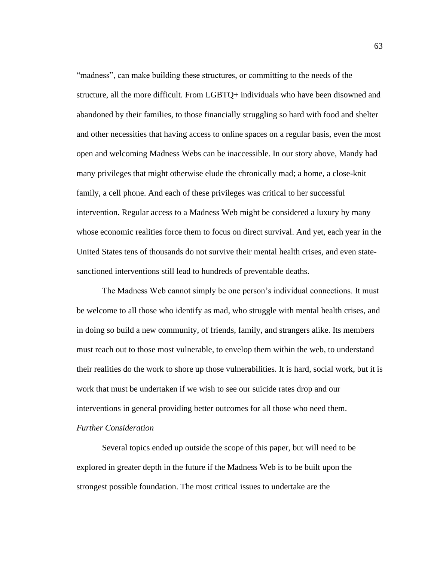"madness", can make building these structures, or committing to the needs of the structure, all the more difficult. From LGBTQ+ individuals who have been disowned and abandoned by their families, to those financially struggling so hard with food and shelter and other necessities that having access to online spaces on a regular basis, even the most open and welcoming Madness Webs can be inaccessible. In our story above, Mandy had many privileges that might otherwise elude the chronically mad; a home, a close-knit family, a cell phone. And each of these privileges was critical to her successful intervention. Regular access to a Madness Web might be considered a luxury by many whose economic realities force them to focus on direct survival. And yet, each year in the United States tens of thousands do not survive their mental health crises, and even statesanctioned interventions still lead to hundreds of preventable deaths.

The Madness Web cannot simply be one person's individual connections. It must be welcome to all those who identify as mad, who struggle with mental health crises, and in doing so build a new community, of friends, family, and strangers alike. Its members must reach out to those most vulnerable, to envelop them within the web, to understand their realities do the work to shore up those vulnerabilities. It is hard, social work, but it is work that must be undertaken if we wish to see our suicide rates drop and our interventions in general providing better outcomes for all those who need them. *Further Consideration*

Several topics ended up outside the scope of this paper, but will need to be explored in greater depth in the future if the Madness Web is to be built upon the strongest possible foundation. The most critical issues to undertake are the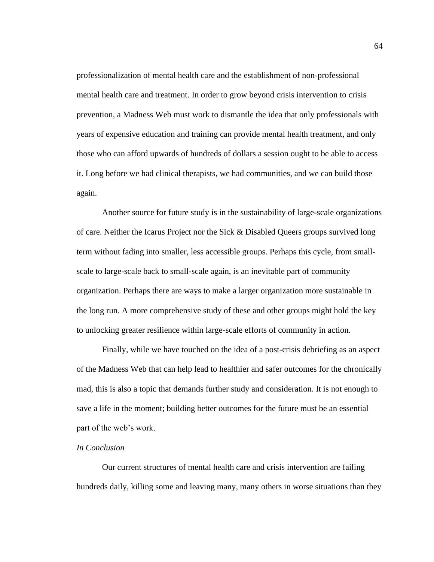professionalization of mental health care and the establishment of non-professional mental health care and treatment. In order to grow beyond crisis intervention to crisis prevention, a Madness Web must work to dismantle the idea that only professionals with years of expensive education and training can provide mental health treatment, and only those who can afford upwards of hundreds of dollars a session ought to be able to access it. Long before we had clinical therapists, we had communities, and we can build those again.

Another source for future study is in the sustainability of large-scale organizations of care. Neither the Icarus Project nor the Sick & Disabled Queers groups survived long term without fading into smaller, less accessible groups. Perhaps this cycle, from smallscale to large-scale back to small-scale again, is an inevitable part of community organization. Perhaps there are ways to make a larger organization more sustainable in the long run. A more comprehensive study of these and other groups might hold the key to unlocking greater resilience within large-scale efforts of community in action.

Finally, while we have touched on the idea of a post-crisis debriefing as an aspect of the Madness Web that can help lead to healthier and safer outcomes for the chronically mad, this is also a topic that demands further study and consideration. It is not enough to save a life in the moment; building better outcomes for the future must be an essential part of the web's work.

### *In Conclusion*

Our current structures of mental health care and crisis intervention are failing hundreds daily, killing some and leaving many, many others in worse situations than they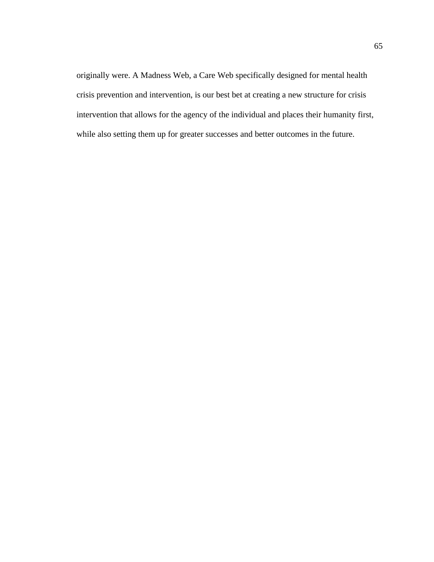originally were. A Madness Web, a Care Web specifically designed for mental health crisis prevention and intervention, is our best bet at creating a new structure for crisis intervention that allows for the agency of the individual and places their humanity first, while also setting them up for greater successes and better outcomes in the future.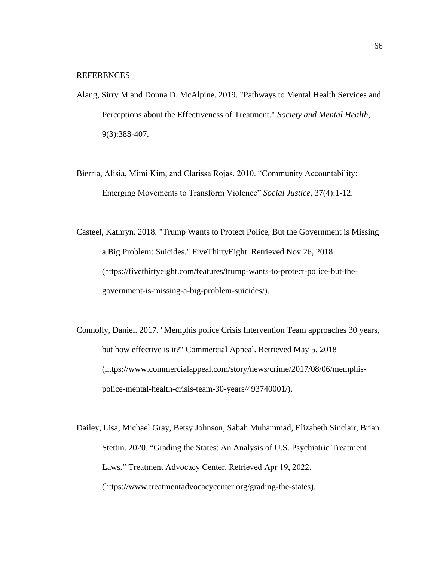- Alang, Sirry M and Donna D. McAlpine. 2019. "Pathways to Mental Health Services and Perceptions about the Effectiveness of Treatment." *Society and Mental Health,* 9(3):388-407.
- Bierria, Alisia, Mimi Kim, and Clarissa Rojas. 2010. "Community Accountability: Emerging Movements to Transform Violence" *Social Justice,* 37(4):1-12.
- Casteel, Kathryn. 2018. "Trump Wants to Protect Police, But the Government is Missing a Big Problem: Suicides." FiveThirtyEight. Retrieved Nov 26, 2018 (https://fivethirtyeight.com/features/trump-wants-to-protect-police-but-thegovernment-is-missing-a-big-problem-suicides/).
- Connolly, Daniel. 2017. "Memphis police Crisis Intervention Team approaches 30 years, but how effective is it?" Commercial Appeal. Retrieved May 5, 2018 (https://www.commercialappeal.com/story/news/crime/2017/08/06/memphispolice-mental-health-crisis-team-30-years/493740001/).
- Dailey, Lisa, Michael Gray, Betsy Johnson, Sabah Muhammad, Elizabeth Sinclair, Brian Stettin. 2020. "Grading the States: An Analysis of U.S. Psychiatric Treatment Laws*.*" Treatment Advocacy Center. Retrieved Apr 19, 2022. (https://www.treatmentadvocacycenter.org/grading-the-states).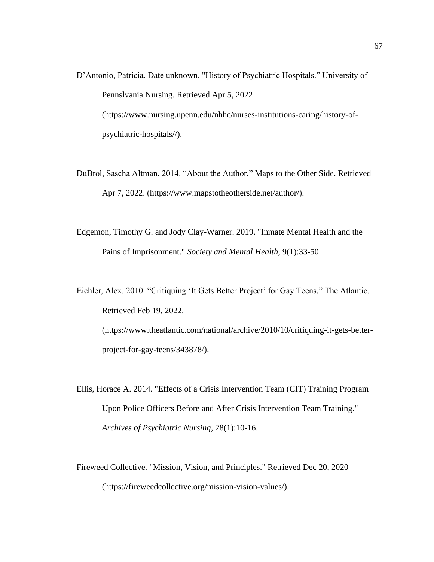- D'Antonio, Patricia. Date unknown. "History of Psychiatric Hospitals." University of Pennslvania Nursing. Retrieved Apr 5, 2022 (https://www.nursing.upenn.edu/nhhc/nurses-institutions-caring/history-ofpsychiatric-hospitals//).
- DuBrol, Sascha Altman. 2014. "About the Author*.*" Maps to the Other Side. Retrieved Apr 7, 2022. (https://www.mapstotheotherside.net/author/).
- Edgemon, Timothy G. and Jody Clay-Warner. 2019. "Inmate Mental Health and the Pains of Imprisonment." *Society and Mental Health,* 9(1):33-50.

Eichler, Alex. 2010. "Critiquing 'It Gets Better Project' for Gay Teens*.*" The Atlantic. Retrieved Feb 19, 2022. (https://www.theatlantic.com/national/archive/2010/10/critiquing-it-gets-betterproject-for-gay-teens/343878/).

- Ellis, Horace A. 2014. "Effects of a Crisis Intervention Team (CIT) Training Program Upon Police Officers Before and After Crisis Intervention Team Training." *Archives of Psychiatric Nursing,* 28(1):10-16.
- Fireweed Collective. "Mission, Vision, and Principles." Retrieved Dec 20, 2020 (https://fireweedcollective.org/mission-vision-values/).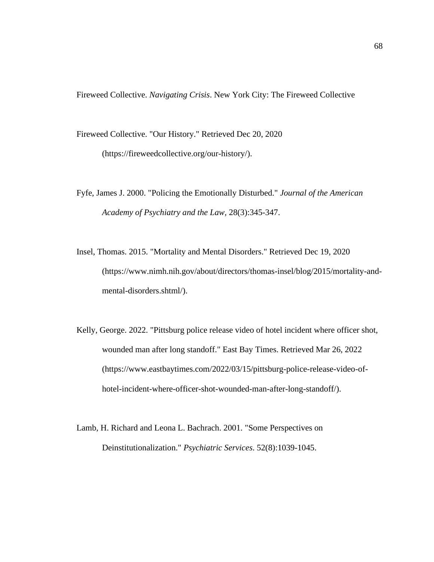Fireweed Collective. *Navigating Crisis*. New York City: The Fireweed Collective

Fireweed Collective. "Our History." Retrieved Dec 20, 2020 (https://fireweedcollective.org/our-history/).

- Fyfe, James J. 2000. "Policing the Emotionally Disturbed." *Journal of the American Academy of Psychiatry and the Law,* 28(3):345-347.
- Insel, Thomas. 2015. "Mortality and Mental Disorders." Retrieved Dec 19, 2020 (https://www.nimh.nih.gov/about/directors/thomas-insel/blog/2015/mortality-andmental-disorders.shtml/).
- Kelly, George. 2022. "Pittsburg police release video of hotel incident where officer shot, wounded man after long standoff." East Bay Times. Retrieved Mar 26, 2022 (https://www.eastbaytimes.com/2022/03/15/pittsburg-police-release-video-ofhotel-incident-where-officer-shot-wounded-man-after-long-standoff/).
- Lamb, H. Richard and Leona L. Bachrach. 2001. "Some Perspectives on Deinstitutionalization." *Psychiatric Services*. 52(8):1039-1045.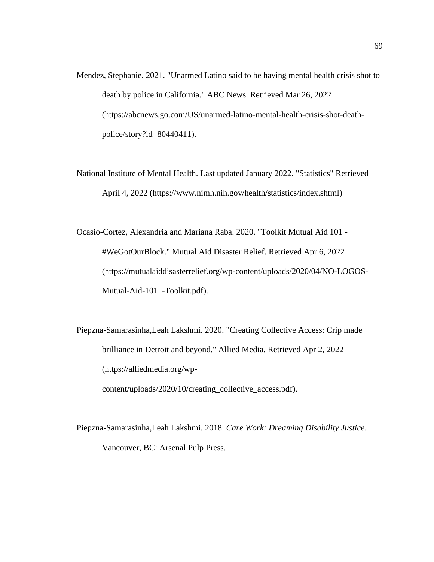- Mendez, Stephanie. 2021. "Unarmed Latino said to be having mental health crisis shot to death by police in California." ABC News. Retrieved Mar 26, 2022 (https://abcnews.go.com/US/unarmed-latino-mental-health-crisis-shot-deathpolice/story?id=80440411).
- National Institute of Mental Health. Last updated January 2022. "Statistics" Retrieved April 4, 2022 (https://www.nimh.nih.gov/health/statistics/index.shtml)
- Ocasio-Cortez, Alexandria and Mariana Raba. 2020. "Toolkit Mutual Aid 101 #WeGotOurBlock." Mutual Aid Disaster Relief. Retrieved Apr 6, 2022 (https://mutualaiddisasterrelief.org/wp-content/uploads/2020/04/NO-LOGOS-Mutual-Aid-101\_-Toolkit.pdf).
- Piepzna-Samarasinha,Leah Lakshmi. 2020. "Creating Collective Access: Crip made brilliance in Detroit and beyond." Allied Media. Retrieved Apr 2, 2022 (https://alliedmedia.org/wpcontent/uploads/2020/10/creating\_collective\_access.pdf).
- Piepzna-Samarasinha,Leah Lakshmi. 2018. *Care Work: Dreaming Disability Justice*. Vancouver, BC: Arsenal Pulp Press.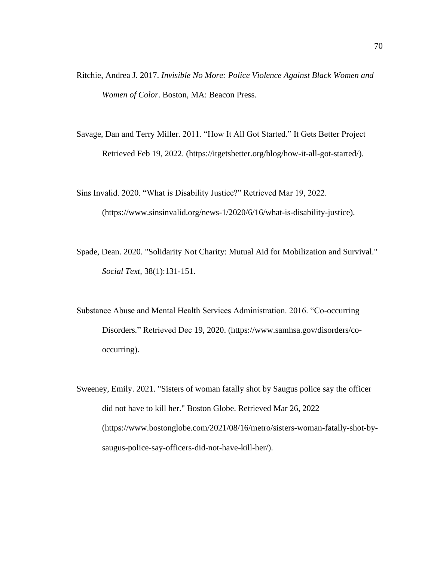- Ritchie, Andrea J. 2017. *Invisible No More: Police Violence Against Black Women and Women of Color*. Boston, MA: Beacon Press.
- Savage, Dan and Terry Miller. 2011. "How It All Got Started*.*" It Gets Better Project Retrieved Feb 19, 2022. (https://itgetsbetter.org/blog/how-it-all-got-started/).
- Sins Invalid. 2020. "What is Disability Justice?" Retrieved Mar 19, 2022. (https://www.sinsinvalid.org/news-1/2020/6/16/what-is-disability-justice).
- Spade, Dean. 2020. "Solidarity Not Charity: Mutual Aid for Mobilization and Survival." *Social Text,* 38(1):131-151.
- Substance Abuse and Mental Health Services Administration. 2016. "Co-occurring Disorders*.*" Retrieved Dec 19, 2020. (https://www.samhsa.gov/disorders/cooccurring).
- Sweeney, Emily. 2021. "Sisters of woman fatally shot by Saugus police say the officer did not have to kill her." Boston Globe. Retrieved Mar 26, 2022 (https://www.bostonglobe.com/2021/08/16/metro/sisters-woman-fatally-shot-bysaugus-police-say-officers-did-not-have-kill-her/).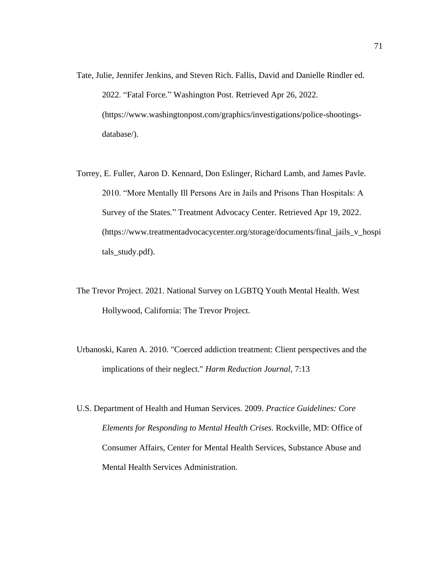- Tate, Julie, Jennifer Jenkins, and Steven Rich. Fallis, David and Danielle Rindler ed. 2022. "Fatal Force*.*" Washington Post. Retrieved Apr 26, 2022. (https://www.washingtonpost.com/graphics/investigations/police-shootingsdatabase/).
- Torrey, E. Fuller, Aaron D. Kennard, Don Eslinger, Richard Lamb, and James Pavle. 2010. "More Mentally Ill Persons Are in Jails and Prisons Than Hospitals: A Survey of the States*.*" Treatment Advocacy Center. Retrieved Apr 19, 2022. (https://www.treatmentadvocacycenter.org/storage/documents/final\_jails\_v\_hospi tals\_study.pdf).
- The Trevor Project. 2021. National Survey on LGBTQ Youth Mental Health. West Hollywood, California: The Trevor Project.
- Urbanoski, Karen A. 2010. "Coerced addiction treatment: Client perspectives and the implications of their neglect." *Harm Reduction Journal,* 7:13
- U.S. Department of Health and Human Services. 2009. *Practice Guidelines: Core Elements for Responding to Mental Health Crises.* Rockville, MD: Office of Consumer Affairs, Center for Mental Health Services, Substance Abuse and Mental Health Services Administration.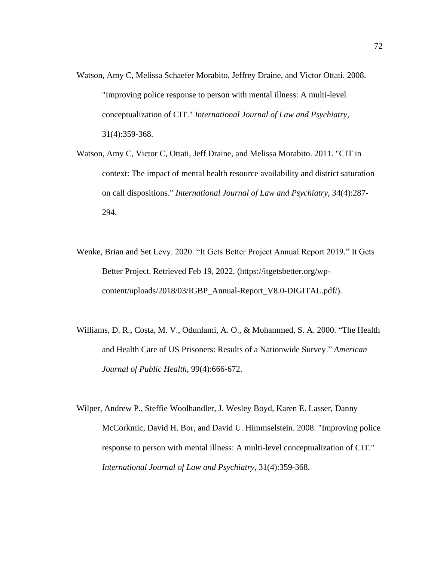- Watson, Amy C, Melissa Schaefer Morabito, Jeffrey Draine, and Victor Ottati. 2008. "Improving police response to person with mental illness: A multi-level conceptualization of CIT." *International Journal of Law and Psychiatry,* 31(4):359-368.
- Watson, Amy C, Victor C, Ottati, Jeff Draine, and Melissa Morabito. 2011. "CIT in context: The impact of mental health resource availability and district saturation on call dispositions." *International Journal of Law and Psychiatry,* 34(4):287- 294.
- Wenke, Brian and Set Levy. 2020. "It Gets Better Project Annual Report 2019*.*" It Gets Better Project. Retrieved Feb 19, 2022. (https://itgetsbetter.org/wpcontent/uploads/2018/03/IGBP\_Annual-Report\_V8.0-DIGITAL.pdf/).
- Williams, D. R., Costa, M. V., Odunlami, A. O., & Mohammed, S. A. 2000. "The Health and Health Care of US Prisoners: Results of a Nationwide Survey." *American Journal of Public Health*, 99(4):666-672.
- Wilper, Andrew P., Steffie Woolhandler, J. Wesley Boyd, Karen E. Lasser, Danny McCorkmic, David H. Bor, and David U. Himmselstein. 2008. "Improving police response to person with mental illness: A multi-level conceptualization of CIT." *International Journal of Law and Psychiatry,* 31(4):359-368.